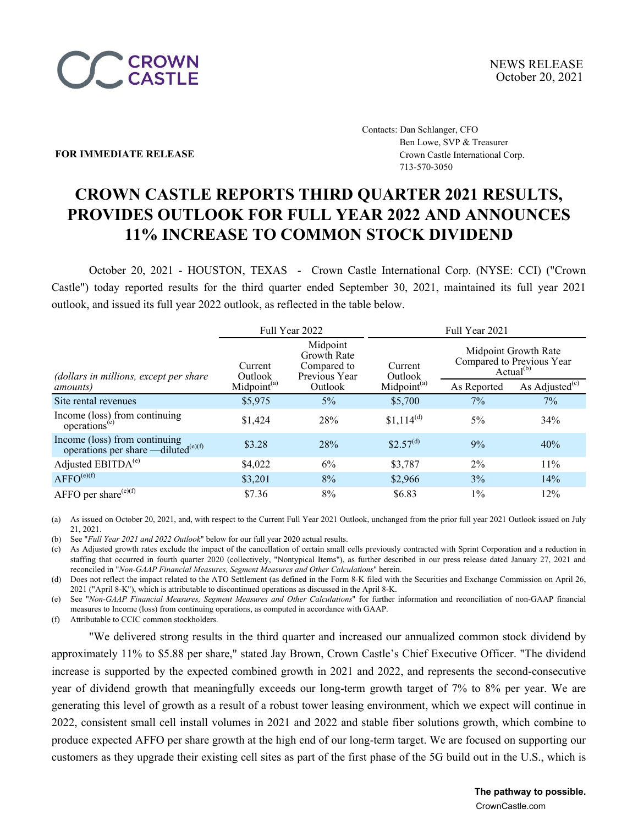

Contacts: Dan Schlanger, CFO Ben Lowe, SVP & Treasurer **FOR IMMEDIATE RELEASE Crown Castle International Corp.** 713-570-3050

# **CROWN CASTLE REPORTS THIRD QUARTER 2021 RESULTS, PROVIDES OUTLOOK FOR FULL YEAR 2022 AND ANNOUNCES 11% INCREASE TO COMMON STOCK DIVIDEND**

October 20, 2021 - HOUSTON, TEXAS - Crown Castle International Corp. (NYSE: CCI) ("Crown Castle") today reported results for the third quarter ended September 30, 2021, maintained its full year 2021 outlook, and issued its full year 2022 outlook, as reflected in the table below.

|                                                                                  |                                                                                      | Full Year 2022 | Full Year 2021          |             |                                                                            |  |  |  |
|----------------------------------------------------------------------------------|--------------------------------------------------------------------------------------|----------------|-------------------------|-------------|----------------------------------------------------------------------------|--|--|--|
| (dollars in millions, except per share                                           | Midpoint<br><b>Growth Rate</b><br>Compared to<br>Current<br>Previous Year<br>Outlook |                | Current<br>Outlook      |             | Midpoint Growth Rate<br>Compared to Previous Year<br>Actual <sup>(b)</sup> |  |  |  |
| <i>amounts</i> )                                                                 | Midpoint <sup>(a)</sup>                                                              | Outlook        | Midpoint <sup>(a)</sup> | As Reported | As Adjusted $(c)$                                                          |  |  |  |
| Site rental revenues                                                             | \$5,975                                                                              | 5%             | \$5,700                 | 7%          | 7%                                                                         |  |  |  |
| Income (loss) from continuing<br>operations <sup>(e)</sup>                       | \$1,424                                                                              | 28%            | $$1,114^{(d)}$          | $5\%$       | 34%                                                                        |  |  |  |
| Income (loss) from continuing<br>operations per share —diluted <sup>(e)(f)</sup> | \$3.28                                                                               | 28%            | \$2.57 <sup>(d)</sup>   | 9%          | 40%                                                                        |  |  |  |
| Adjusted EBITDA <sup>(e)</sup>                                                   | \$4,022                                                                              | 6%             | \$3,787                 | $2\%$       | 11%                                                                        |  |  |  |
| $AFFO^{(e)(f)}$                                                                  | \$3,201                                                                              | 8%             | \$2,966                 | 3%          | 14%                                                                        |  |  |  |
| AFFO per share <sup>(e)(f)</sup>                                                 | \$7.36                                                                               | 8%             | \$6.83                  | $1\%$       | 12%                                                                        |  |  |  |

(a) As issued on October 20, 2021, and, with respect to the Current Full Year 2021 Outlook, unchanged from the prior full year 2021 Outlook issued on July 21, 2021.

(b) See "*Full Year 2021 and 2022 Outlook*" below for our full year 2020 actual results.

(c) As Adjusted growth rates exclude the impact of the cancellation of certain small cells previously contracted with Sprint Corporation and a reduction in staffing that occurred in fourth quarter 2020 (collectively, "Nontypical Items"), as further described in our press release dated January 27, 2021 and reconciled in "*Non-GAAP Financial Measures, Segment Measures and Other Calculations*" herein.

(d) Does not reflect the impact related to the ATO Settlement (as defined in the Form 8-K filed with the Securities and Exchange Commission on April 26, 2021 ("April 8-K"), which is attributable to discontinued operations as discussed in the April 8-K.

(e) See "*Non-GAAP Financial Measures, Segment Measures and Other Calculations*" for further information and reconciliation of non-GAAP financial measures to Income (loss) from continuing operations, as computed in accordance with GAAP.

(f) Attributable to CCIC common stockholders.

"We delivered strong results in the third quarter and increased our annualized common stock dividend by approximately 11% to \$5.88 per share," stated Jay Brown, Crown Castle's Chief Executive Officer. "The dividend increase is supported by the expected combined growth in 2021 and 2022, and represents the second-consecutive year of dividend growth that meaningfully exceeds our long-term growth target of 7% to 8% per year. We are generating this level of growth as a result of a robust tower leasing environment, which we expect will continue in 2022, consistent small cell install volumes in 2021 and 2022 and stable fiber solutions growth, which combine to produce expected AFFO per share growth at the high end of our long-term target. We are focused on supporting our customers as they upgrade their existing cell sites as part of the first phase of the 5G build out in the U.S., which is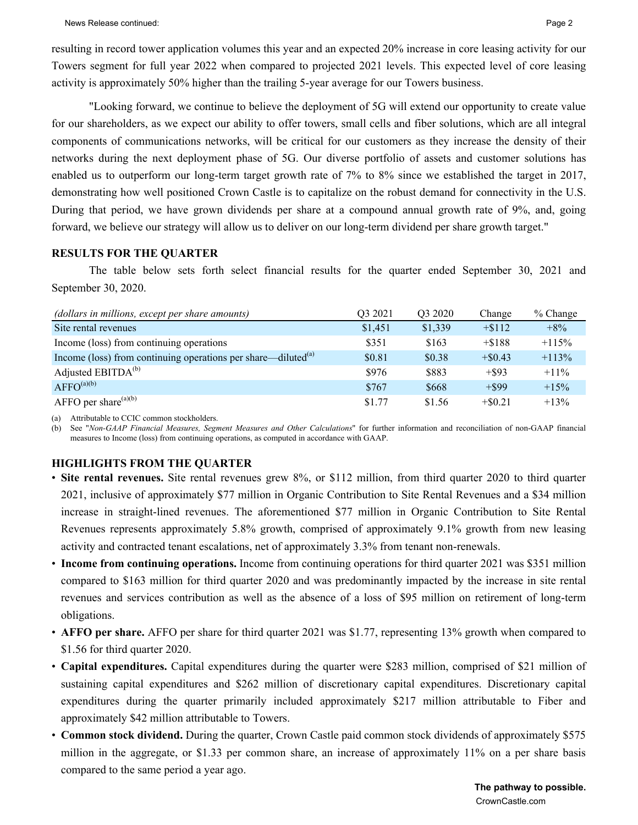resulting in record tower application volumes this year and an expected 20% increase in core leasing activity for our Towers segment for full year 2022 when compared to projected 2021 levels. This expected level of core leasing activity is approximately 50% higher than the trailing 5-year average for our Towers business.

"Looking forward, we continue to believe the deployment of 5G will extend our opportunity to create value for our shareholders, as we expect our ability to offer towers, small cells and fiber solutions, which are all integral components of communications networks, will be critical for our customers as they increase the density of their networks during the next deployment phase of 5G. Our diverse portfolio of assets and customer solutions has enabled us to outperform our long-term target growth rate of 7% to 8% since we established the target in 2017, demonstrating how well positioned Crown Castle is to capitalize on the robust demand for connectivity in the U.S. During that period, we have grown dividends per share at a compound annual growth rate of 9%, and, going forward, we believe our strategy will allow us to deliver on our long-term dividend per share growth target."

#### **RESULTS FOR THE QUARTER**

The table below sets forth select financial results for the quarter ended September 30, 2021 and September 30, 2020.

| (dollars in millions, except per share amounts)                     | O <sub>3</sub> 2021 | Q3 2020 | Change     | % Change |
|---------------------------------------------------------------------|---------------------|---------|------------|----------|
| Site rental revenues                                                | \$1,451             | \$1,339 | $+ $112$   | $+8%$    |
| Income (loss) from continuing operations                            | \$351               | \$163   | $+ $188$   | $+115%$  |
| Income (loss) from continuing operations per share—diluted $^{(a)}$ | \$0.81              | \$0.38  | $+ $0.43$  | $+113%$  |
| Adjusted EBITDA <sup>(b)</sup>                                      | \$976               | \$883   | $+$ \$93   | $+11\%$  |
| $AFFO^{(a)(b)}$                                                     | \$767               | \$668   | $+$ \$99   | $+15%$   |
| AFFO per share $(a)(b)$                                             | \$1.77              | \$1.56  | $+$ \$0.21 | $+13%$   |

(a) Attributable to CCIC common stockholders.

(b) See "*Non-GAAP Financial Measures, Segment Measures and Other Calculations*" for further information and reconciliation of non-GAAP financial measures to Income (loss) from continuing operations, as computed in accordance with GAAP.

## **HIGHLIGHTS FROM THE QUARTER**

- **Site rental revenues.** Site rental revenues grew 8%, or \$112 million, from third quarter 2020 to third quarter 2021, inclusive of approximately \$77 million in Organic Contribution to Site Rental Revenues and a \$34 million increase in straight-lined revenues. The aforementioned \$77 million in Organic Contribution to Site Rental Revenues represents approximately 5.8% growth, comprised of approximately 9.1% growth from new leasing activity and contracted tenant escalations, net of approximately 3.3% from tenant non-renewals.
- **Income from continuing operations.** Income from continuing operations for third quarter 2021 was \$351 million compared to \$163 million for third quarter 2020 and was predominantly impacted by the increase in site rental revenues and services contribution as well as the absence of a loss of \$95 million on retirement of long-term obligations.
- **AFFO per share.** AFFO per share for third quarter 2021 was \$1.77, representing 13% growth when compared to \$1.56 for third quarter 2020.
- **Capital expenditures.** Capital expenditures during the quarter were \$283 million, comprised of \$21 million of sustaining capital expenditures and \$262 million of discretionary capital expenditures. Discretionary capital expenditures during the quarter primarily included approximately \$217 million attributable to Fiber and approximately \$42 million attributable to Towers.
- **Common stock dividend.** During the quarter, Crown Castle paid common stock dividends of approximately \$575 million in the aggregate, or \$1.33 per common share, an increase of approximately 11% on a per share basis compared to the same period a year ago.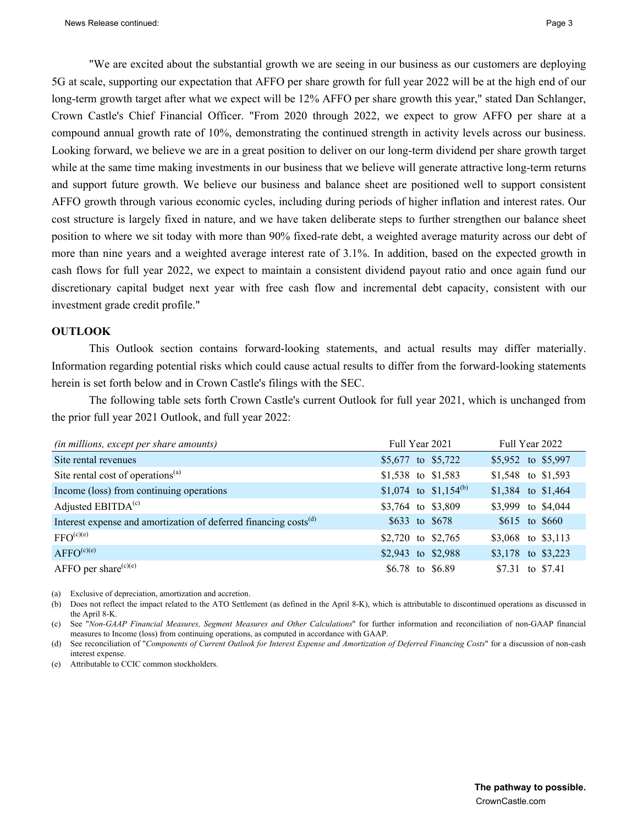"We are excited about the substantial growth we are seeing in our business as our customers are deploying 5G at scale, supporting our expectation that AFFO per share growth for full year 2022 will be at the high end of our long-term growth target after what we expect will be 12% AFFO per share growth this year," stated Dan Schlanger, Crown Castle's Chief Financial Officer. "From 2020 through 2022, we expect to grow AFFO per share at a compound annual growth rate of 10%, demonstrating the continued strength in activity levels across our business. Looking forward, we believe we are in a great position to deliver on our long-term dividend per share growth target while at the same time making investments in our business that we believe will generate attractive long-term returns and support future growth. We believe our business and balance sheet are positioned well to support consistent AFFO growth through various economic cycles, including during periods of higher inflation and interest rates. Our cost structure is largely fixed in nature, and we have taken deliberate steps to further strengthen our balance sheet position to where we sit today with more than 90% fixed-rate debt, a weighted average maturity across our debt of more than nine years and a weighted average interest rate of 3.1%. In addition, based on the expected growth in cash flows for full year 2022, we expect to maintain a consistent dividend payout ratio and once again fund our discretionary capital budget next year with free cash flow and incremental debt capacity, consistent with our investment grade credit profile."

#### **OUTLOOK**

This Outlook section contains forward-looking statements, and actual results may differ materially. Information regarding potential risks which could cause actual results to differ from the forward-looking statements herein is set forth below and in Crown Castle's filings with the SEC.

The following table sets forth Crown Castle's current Outlook for full year 2021, which is unchanged from the prior full year 2021 Outlook, and full year 2022:

| (in millions, except per share amounts)                                      | Full Year 2021                    | Full Year 2022      |
|------------------------------------------------------------------------------|-----------------------------------|---------------------|
| Site rental revenues                                                         | \$5,677 to \$5,722                | \$5,952 to \$5,997  |
| Site rental cost of operations <sup>(a)</sup>                                | \$1,538 to \$1,583                | \$1,548 to \$1,593  |
| Income (loss) from continuing operations                                     | \$1,074 to \$1,154 <sup>(b)</sup> | \$1,384 to \$1,464  |
| Adjusted $EBITDA(c)$                                                         | \$3,764 to \$3,809                | \$3,999 to \$4,044  |
| Interest expense and amortization of deferred financing costs <sup>(d)</sup> | \$633 to \$678                    | $$615$ to $$660$    |
| $FFO^{(c)(e)}$                                                               | \$2,720 to \$2,765                | \$3,068 to \$3,113  |
| $AFFO^{(c)(e)}$                                                              | \$2,943 to \$2,988                | \$3,178 to $$3,223$ |
| AFFO per share $(c)(e)$                                                      | \$6.78 to \$6.89                  | \$7.31 to \$7.41    |

(a) Exclusive of depreciation, amortization and accretion.

(b) Does not reflect the impact related to the ATO Settlement (as defined in the April 8-K), which is attributable to discontinued operations as discussed in the April 8-K.

(c) See "*Non-GAAP Financial Measures, Segment Measures and Other Calculations*" for further information and reconciliation of non-GAAP financial measures to Income (loss) from continuing operations, as computed in accordance with GAAP.

(d) See reconciliation of "*Components of Current Outlook for Interest Expense and Amortization of Deferred Financing Costs*" for a discussion of non-cash interest expense.

(e) Attributable to CCIC common stockholders.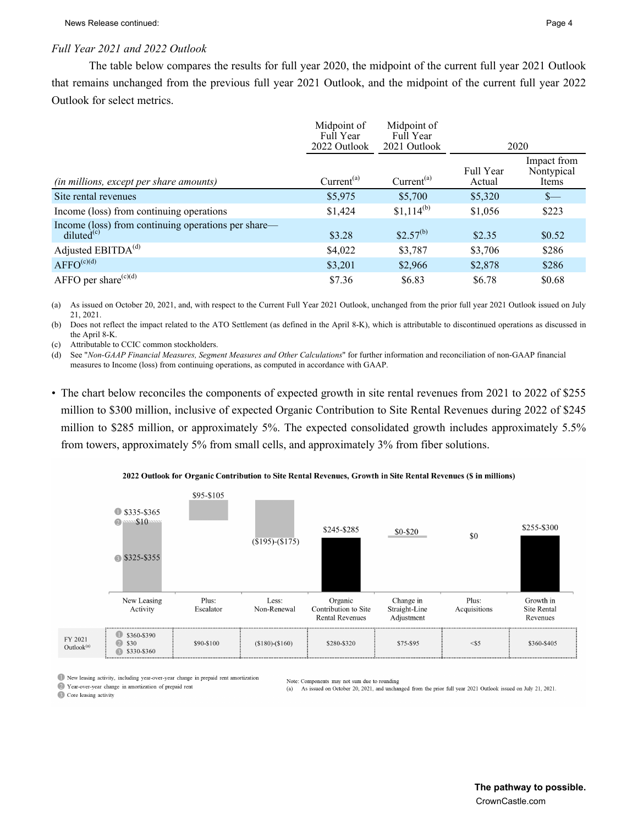#### *Full Year 2021 and 2022 Outlook*

The table below compares the results for full year 2020, the midpoint of the current full year 2021 Outlook that remains unchanged from the previous full year 2021 Outlook, and the midpoint of the current full year 2022 Outlook for select metrics.

|                                                                               | Midpoint of<br>Full Year | Midpoint of<br>Full Year |                     |                                    |
|-------------------------------------------------------------------------------|--------------------------|--------------------------|---------------------|------------------------------------|
|                                                                               | 2022 Outlook             | 2021 Outlook             |                     | 2020                               |
| (in millions, except per share amounts)                                       | Current <sup>(a)</sup>   | Current <sup>(a)</sup>   | Full Year<br>Actual | Impact from<br>Nontypical<br>Items |
| Site rental revenues                                                          | \$5,975                  | \$5,700                  | \$5,320             | $S$ —                              |
| Income (loss) from continuing operations                                      | \$1,424                  | $$1,114^{(b)}$           | \$1,056             | \$223                              |
| Income (loss) from continuing operations per share—<br>diluted <sup>(c)</sup> | \$3.28                   | $$2.57^{(b)}$$           | \$2.35              | \$0.52                             |
| Adjusted EBITDA <sup>(d)</sup>                                                | \$4,022                  | \$3,787                  | \$3,706             | \$286                              |
| $AFFO^{(c)(d)}$                                                               | \$3,201                  | \$2,966                  | \$2,878             | \$286                              |
| AFFO per share $(c)(d)$                                                       | \$7.36                   | \$6.83                   | \$6.78              | \$0.68                             |

(a) As issued on October 20, 2021, and, with respect to the Current Full Year 2021 Outlook, unchanged from the prior full year 2021 Outlook issued on July 21, 2021.

(b) Does not reflect the impact related to the ATO Settlement (as defined in the April 8-K), which is attributable to discontinued operations as discussed in the April 8-K.

(c) Attributable to CCIC common stockholders.

(d) See "*Non-GAAP Financial Measures, Segment Measures and Other Calculations*" for further information and reconciliation of non-GAAP financial measures to Income (loss) from continuing operations, as computed in accordance with GAAP.

• The chart below reconciles the components of expected growth in site rental revenues from 2021 to 2022 of \$255 million to \$300 million, inclusive of expected Organic Contribution to Site Rental Revenues during 2022 of \$245 million to \$285 million, or approximately 5%. The expected consolidated growth includes approximately 5.5% from towers, approximately 5% from small cells, and approximately 3% from fiber solutions.



2022 Outlook for Organic Contribution to Site Rental Revenues, Growth in Site Rental Revenues (\$ in millions)

New leasing activity, including year-over-year change in prepaid rent amortization

2 Year-over-year change in amortization of prepaid rent Core leasing activity

Note: Components may not sum due to rounding

As issued on October 20, 2021, and unchanged from the prior full year 2021 Outlook issued on July 21, 2021.  $(a)$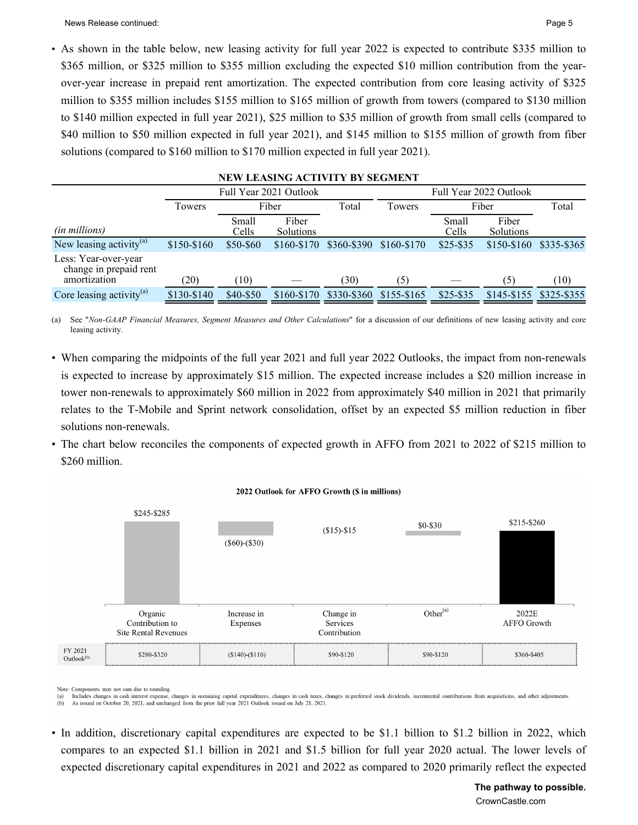News Release continued: **Page 5** Page 5

• As shown in the table below, new leasing activity for full year 2022 is expected to contribute \$335 million to \$365 million, or \$325 million to \$355 million excluding the expected \$10 million contribution from the yearover-year increase in prepaid rent amortization. The expected contribution from core leasing activity of \$325 million to \$355 million includes \$155 million to \$165 million of growth from towers (compared to \$130 million to \$140 million expected in full year 2021), \$25 million to \$35 million of growth from small cells (compared to \$40 million to \$50 million expected in full year 2021), and \$145 million to \$155 million of growth from fiber solutions (compared to \$160 million to \$170 million expected in full year 2021).

| NEW LEASING ACTIVITY BY SEGMENT                                |             |                |                           |             |               |                |                    |               |  |  |
|----------------------------------------------------------------|-------------|----------------|---------------------------|-------------|---------------|----------------|--------------------|---------------|--|--|
| Full Year 2021 Outlook<br>Full Year 2022 Outlook               |             |                |                           |             |               |                |                    |               |  |  |
|                                                                | Towers      |                | Fiber                     | Total       | Fiber         | Total          |                    |               |  |  |
| (in millions)                                                  |             | Small<br>Cells | Fiber<br><b>Solutions</b> |             |               | Small<br>Cells | Fiber<br>Solutions |               |  |  |
| New leasing activity $^{(a)}$                                  | \$150-\$160 | \$50-\$60      | $$160-S170$               | \$360-\$390 | \$160-\$170   | $$25 - $35$    | $$150-S160$        | $$335 - $365$ |  |  |
| Less: Year-over-year<br>change in prepaid rent<br>amortization | (20)        | (10)           |                           | (30)        | (5)           |                | (5)                | (10)          |  |  |
| Core leasing activity $^{(a)}$                                 | \$130-\$140 | \$40-\$50      | $$160-S170$               | \$330-\$360 | $$155 - $165$ | $$25 - $35$    | $$145 - $155$      | \$325-\$355   |  |  |

(a) See "*Non-GAAP Financial Measures, Segment Measures and Other Calculations*" for a discussion of our definitions of new leasing activity and core leasing activity.

- When comparing the midpoints of the full year 2021 and full year 2022 Outlooks, the impact from non-renewals is expected to increase by approximately \$15 million. The expected increase includes a \$20 million increase in tower non-renewals to approximately \$60 million in 2022 from approximately \$40 million in 2021 that primarily relates to the T-Mobile and Sprint network consolidation, offset by an expected \$5 million reduction in fiber solutions non-renewals.
- The chart below reconciles the components of expected growth in AFFO from 2021 to 2022 of \$215 million to \$260 million.



#### 2022 Outlook for AFFO Growth (\$ in millions)

Note: Components may not sum due to rounding

Includes changes in cash interest expense, changes in sustaining capital expenditures, changes in cash taxes, changes in preferred stock dividends, incremental contributions from acquisitions, and other adjustments  $(a)$ 

As issued on October 20, 2021, and unchanged from the prior full year 2021 Outlook issued on July 21, 2021  $(b)$ 

• In addition, discretionary capital expenditures are expected to be \$1.1 billion to \$1.2 billion in 2022, which compares to an expected \$1.1 billion in 2021 and \$1.5 billion for full year 2020 actual. The lower levels of expected discretionary capital expenditures in 2021 and 2022 as compared to 2020 primarily reflect the expected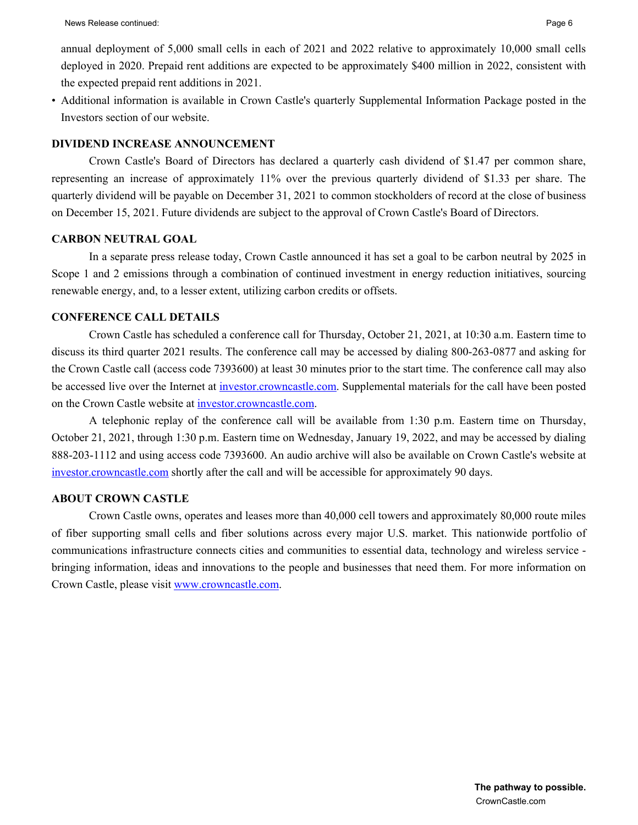annual deployment of 5,000 small cells in each of 2021 and 2022 relative to approximately 10,000 small cells deployed in 2020. Prepaid rent additions are expected to be approximately \$400 million in 2022, consistent with the expected prepaid rent additions in 2021.

• Additional information is available in Crown Castle's quarterly Supplemental Information Package posted in the Investors section of our website.

#### **DIVIDEND INCREASE ANNOUNCEMENT**

Crown Castle's Board of Directors has declared a quarterly cash dividend of \$1.47 per common share, representing an increase of approximately 11% over the previous quarterly dividend of \$1.33 per share. The quarterly dividend will be payable on December 31, 2021 to common stockholders of record at the close of business on December 15, 2021. Future dividends are subject to the approval of Crown Castle's Board of Directors.

#### **CARBON NEUTRAL GOAL**

In a separate press release today, Crown Castle announced it has set a goal to be carbon neutral by 2025 in Scope 1 and 2 emissions through a combination of continued investment in energy reduction initiatives, sourcing renewable energy, and, to a lesser extent, utilizing carbon credits or offsets.

### **CONFERENCE CALL DETAILS**

Crown Castle has scheduled a conference call for Thursday, October 21, 2021, at 10:30 a.m. Eastern time to discuss its third quarter 2021 results. The conference call may be accessed by dialing 800-263-0877 and asking for the Crown Castle call (access code 7393600) at least 30 minutes prior to the start time. The conference call may also be accessed live over the Internet at investor.crowncastle.com. Supplemental materials for the call have been posted on the Crown Castle website at investor.crowncastle.com.

A telephonic replay of the conference call will be available from 1:30 p.m. Eastern time on Thursday, October 21, 2021, through 1:30 p.m. Eastern time on Wednesday, January 19, 2022, and may be accessed by dialing 888-203-1112 and using access code 7393600. An audio archive will also be available on Crown Castle's website at investor.crowncastle.com shortly after the call and will be accessible for approximately 90 days.

#### **ABOUT CROWN CASTLE**

Crown Castle owns, operates and leases more than 40,000 cell towers and approximately 80,000 route miles of fiber supporting small cells and fiber solutions across every major U.S. market. This nationwide portfolio of communications infrastructure connects cities and communities to essential data, technology and wireless service bringing information, ideas and innovations to the people and businesses that need them. For more information on Crown Castle, please visit www.crowncastle.com.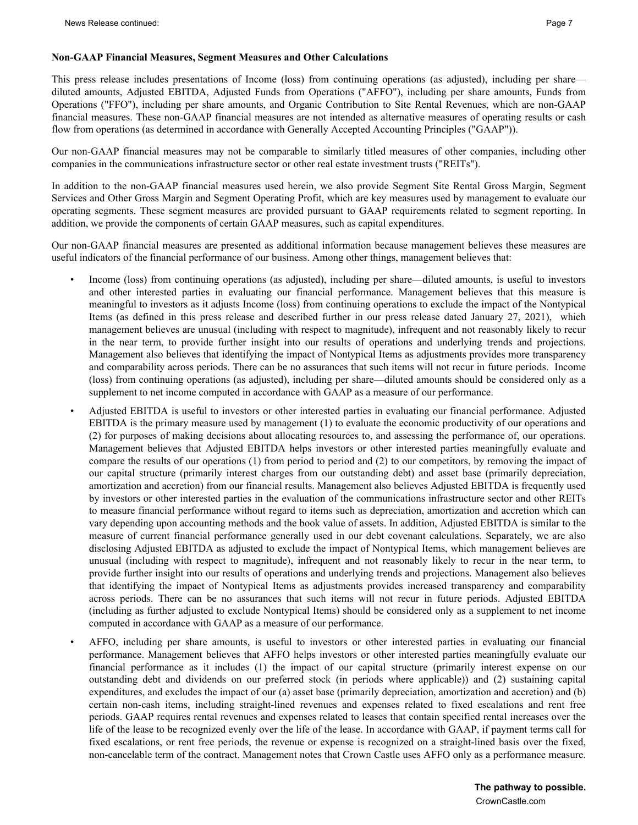This press release includes presentations of Income (loss) from continuing operations (as adjusted), including per share diluted amounts, Adjusted EBITDA, Adjusted Funds from Operations ("AFFO"), including per share amounts, Funds from Operations ("FFO"), including per share amounts, and Organic Contribution to Site Rental Revenues, which are non-GAAP financial measures. These non-GAAP financial measures are not intended as alternative measures of operating results or cash flow from operations (as determined in accordance with Generally Accepted Accounting Principles ("GAAP")).

Our non-GAAP financial measures may not be comparable to similarly titled measures of other companies, including other companies in the communications infrastructure sector or other real estate investment trusts ("REITs").

In addition to the non-GAAP financial measures used herein, we also provide Segment Site Rental Gross Margin, Segment Services and Other Gross Margin and Segment Operating Profit, which are key measures used by management to evaluate our operating segments. These segment measures are provided pursuant to GAAP requirements related to segment reporting. In addition, we provide the components of certain GAAP measures, such as capital expenditures.

Our non-GAAP financial measures are presented as additional information because management believes these measures are useful indicators of the financial performance of our business. Among other things, management believes that:

- Income (loss) from continuing operations (as adjusted), including per share—diluted amounts, is useful to investors and other interested parties in evaluating our financial performance. Management believes that this measure is meaningful to investors as it adjusts Income (loss) from continuing operations to exclude the impact of the Nontypical Items (as defined in this press release and described further in our press release dated January 27, 2021), which management believes are unusual (including with respect to magnitude), infrequent and not reasonably likely to recur in the near term, to provide further insight into our results of operations and underlying trends and projections. Management also believes that identifying the impact of Nontypical Items as adjustments provides more transparency and comparability across periods. There can be no assurances that such items will not recur in future periods. Income (loss) from continuing operations (as adjusted), including per share—diluted amounts should be considered only as a supplement to net income computed in accordance with GAAP as a measure of our performance.
- Adjusted EBITDA is useful to investors or other interested parties in evaluating our financial performance. Adjusted EBITDA is the primary measure used by management (1) to evaluate the economic productivity of our operations and (2) for purposes of making decisions about allocating resources to, and assessing the performance of, our operations. Management believes that Adjusted EBITDA helps investors or other interested parties meaningfully evaluate and compare the results of our operations (1) from period to period and (2) to our competitors, by removing the impact of our capital structure (primarily interest charges from our outstanding debt) and asset base (primarily depreciation, amortization and accretion) from our financial results. Management also believes Adjusted EBITDA is frequently used by investors or other interested parties in the evaluation of the communications infrastructure sector and other REITs to measure financial performance without regard to items such as depreciation, amortization and accretion which can vary depending upon accounting methods and the book value of assets. In addition, Adjusted EBITDA is similar to the measure of current financial performance generally used in our debt covenant calculations. Separately, we are also disclosing Adjusted EBITDA as adjusted to exclude the impact of Nontypical Items, which management believes are unusual (including with respect to magnitude), infrequent and not reasonably likely to recur in the near term, to provide further insight into our results of operations and underlying trends and projections. Management also believes that identifying the impact of Nontypical Items as adjustments provides increased transparency and comparability across periods. There can be no assurances that such items will not recur in future periods. Adjusted EBITDA (including as further adjusted to exclude Nontypical Items) should be considered only as a supplement to net income computed in accordance with GAAP as a measure of our performance.
- AFFO, including per share amounts, is useful to investors or other interested parties in evaluating our financial performance. Management believes that AFFO helps investors or other interested parties meaningfully evaluate our financial performance as it includes (1) the impact of our capital structure (primarily interest expense on our outstanding debt and dividends on our preferred stock (in periods where applicable)) and (2) sustaining capital expenditures, and excludes the impact of our (a) asset base (primarily depreciation, amortization and accretion) and (b) certain non-cash items, including straight-lined revenues and expenses related to fixed escalations and rent free periods. GAAP requires rental revenues and expenses related to leases that contain specified rental increases over the life of the lease to be recognized evenly over the life of the lease. In accordance with GAAP, if payment terms call for fixed escalations, or rent free periods, the revenue or expense is recognized on a straight-lined basis over the fixed, non-cancelable term of the contract. Management notes that Crown Castle uses AFFO only as a performance measure.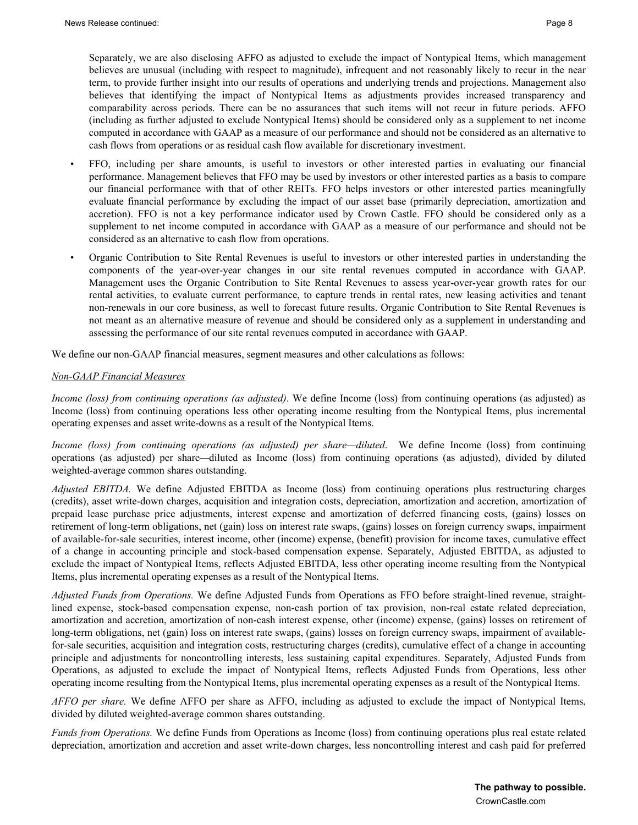Separately, we are also disclosing AFFO as adjusted to exclude the impact of Nontypical Items, which management believes are unusual (including with respect to magnitude), infrequent and not reasonably likely to recur in the near term, to provide further insight into our results of operations and underlying trends and projections. Management also believes that identifying the impact of Nontypical Items as adjustments provides increased transparency and comparability across periods. There can be no assurances that such items will not recur in future periods. AFFO (including as further adjusted to exclude Nontypical Items) should be considered only as a supplement to net income computed in accordance with GAAP as a measure of our performance and should not be considered as an alternative to cash flows from operations or as residual cash flow available for discretionary investment.

- FFO, including per share amounts, is useful to investors or other interested parties in evaluating our financial performance. Management believes that FFO may be used by investors or other interested parties as a basis to compare our financial performance with that of other REITs. FFO helps investors or other interested parties meaningfully evaluate financial performance by excluding the impact of our asset base (primarily depreciation, amortization and accretion). FFO is not a key performance indicator used by Crown Castle. FFO should be considered only as a supplement to net income computed in accordance with GAAP as a measure of our performance and should not be considered as an alternative to cash flow from operations.
- Organic Contribution to Site Rental Revenues is useful to investors or other interested parties in understanding the components of the year-over-year changes in our site rental revenues computed in accordance with GAAP. Management uses the Organic Contribution to Site Rental Revenues to assess year-over-year growth rates for our rental activities, to evaluate current performance, to capture trends in rental rates, new leasing activities and tenant non-renewals in our core business, as well to forecast future results. Organic Contribution to Site Rental Revenues is not meant as an alternative measure of revenue and should be considered only as a supplement in understanding and assessing the performance of our site rental revenues computed in accordance with GAAP.

We define our non-GAAP financial measures, segment measures and other calculations as follows:

#### *Non-GAAP Financial Measures*

*Income (loss) from continuing operations (as adjusted)*. We define Income (loss) from continuing operations (as adjusted) as Income (loss) from continuing operations less other operating income resulting from the Nontypical Items, plus incremental operating expenses and asset write-downs as a result of the Nontypical Items.

*Income (loss) from continuing operations (as adjusted) per share—diluted*. We define Income (loss) from continuing operations (as adjusted) per share*—*diluted as Income (loss) from continuing operations (as adjusted), divided by diluted weighted-average common shares outstanding.

*Adjusted EBITDA.* We define Adjusted EBITDA as Income (loss) from continuing operations plus restructuring charges (credits), asset write-down charges, acquisition and integration costs, depreciation, amortization and accretion, amortization of prepaid lease purchase price adjustments, interest expense and amortization of deferred financing costs, (gains) losses on retirement of long-term obligations, net (gain) loss on interest rate swaps, (gains) losses on foreign currency swaps, impairment of available-for-sale securities, interest income, other (income) expense, (benefit) provision for income taxes, cumulative effect of a change in accounting principle and stock-based compensation expense. Separately, Adjusted EBITDA, as adjusted to exclude the impact of Nontypical Items, reflects Adjusted EBITDA, less other operating income resulting from the Nontypical Items, plus incremental operating expenses as a result of the Nontypical Items.

*Adjusted Funds from Operations.* We define Adjusted Funds from Operations as FFO before straight-lined revenue, straightlined expense, stock-based compensation expense, non-cash portion of tax provision, non-real estate related depreciation, amortization and accretion, amortization of non-cash interest expense, other (income) expense, (gains) losses on retirement of long-term obligations, net (gain) loss on interest rate swaps, (gains) losses on foreign currency swaps, impairment of availablefor-sale securities, acquisition and integration costs, restructuring charges (credits), cumulative effect of a change in accounting principle and adjustments for noncontrolling interests, less sustaining capital expenditures. Separately, Adjusted Funds from Operations, as adjusted to exclude the impact of Nontypical Items, reflects Adjusted Funds from Operations, less other operating income resulting from the Nontypical Items, plus incremental operating expenses as a result of the Nontypical Items.

*AFFO per share.* We define AFFO per share as AFFO, including as adjusted to exclude the impact of Nontypical Items, divided by diluted weighted-average common shares outstanding.

*Funds from Operations.* We define Funds from Operations as Income (loss) from continuing operations plus real estate related depreciation, amortization and accretion and asset write-down charges, less noncontrolling interest and cash paid for preferred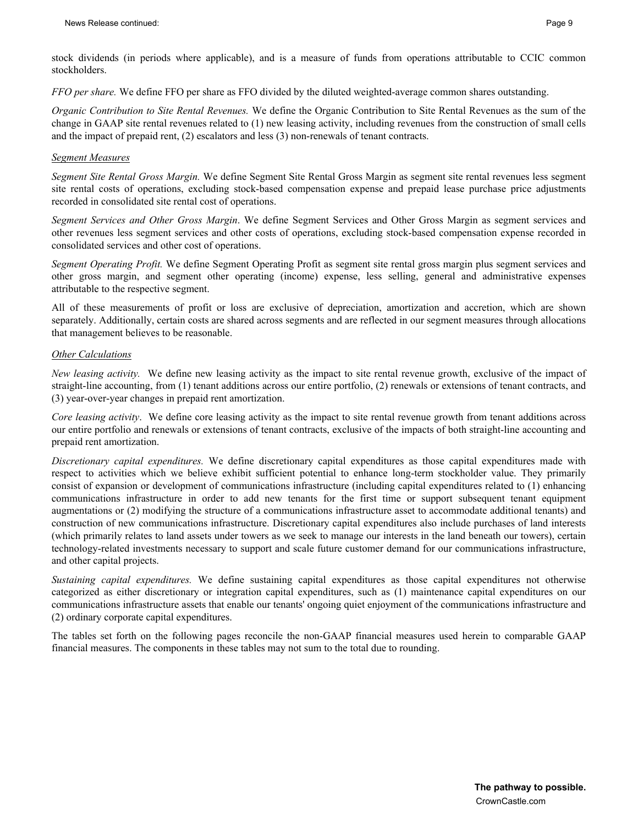stock dividends (in periods where applicable), and is a measure of funds from operations attributable to CCIC common stockholders.

*FFO per share.* We define FFO per share as FFO divided by the diluted weighted-average common shares outstanding.

*Organic Contribution to Site Rental Revenues.* We define the Organic Contribution to Site Rental Revenues as the sum of the change in GAAP site rental revenues related to (1) new leasing activity, including revenues from the construction of small cells and the impact of prepaid rent, (2) escalators and less (3) non-renewals of tenant contracts.

#### *Segment Measures*

*Segment Site Rental Gross Margin.* We define Segment Site Rental Gross Margin as segment site rental revenues less segment site rental costs of operations, excluding stock-based compensation expense and prepaid lease purchase price adjustments recorded in consolidated site rental cost of operations.

*Segment Services and Other Gross Margin*. We define Segment Services and Other Gross Margin as segment services and other revenues less segment services and other costs of operations, excluding stock-based compensation expense recorded in consolidated services and other cost of operations.

*Segment Operating Profit.* We define Segment Operating Profit as segment site rental gross margin plus segment services and other gross margin, and segment other operating (income) expense, less selling, general and administrative expenses attributable to the respective segment.

All of these measurements of profit or loss are exclusive of depreciation, amortization and accretion, which are shown separately. Additionally, certain costs are shared across segments and are reflected in our segment measures through allocations that management believes to be reasonable.

#### *Other Calculations*

*New leasing activity.* We define new leasing activity as the impact to site rental revenue growth, exclusive of the impact of straight-line accounting, from (1) tenant additions across our entire portfolio, (2) renewals or extensions of tenant contracts, and (3) year-over-year changes in prepaid rent amortization.

*Core leasing activity*. We define core leasing activity as the impact to site rental revenue growth from tenant additions across our entire portfolio and renewals or extensions of tenant contracts, exclusive of the impacts of both straight-line accounting and prepaid rent amortization.

*Discretionary capital expenditures.* We define discretionary capital expenditures as those capital expenditures made with respect to activities which we believe exhibit sufficient potential to enhance long-term stockholder value. They primarily consist of expansion or development of communications infrastructure (including capital expenditures related to (1) enhancing communications infrastructure in order to add new tenants for the first time or support subsequent tenant equipment augmentations or (2) modifying the structure of a communications infrastructure asset to accommodate additional tenants) and construction of new communications infrastructure. Discretionary capital expenditures also include purchases of land interests (which primarily relates to land assets under towers as we seek to manage our interests in the land beneath our towers), certain technology-related investments necessary to support and scale future customer demand for our communications infrastructure, and other capital projects.

*Sustaining capital expenditures.* We define sustaining capital expenditures as those capital expenditures not otherwise categorized as either discretionary or integration capital expenditures, such as (1) maintenance capital expenditures on our communications infrastructure assets that enable our tenants' ongoing quiet enjoyment of the communications infrastructure and (2) ordinary corporate capital expenditures.

The tables set forth on the following pages reconcile the non-GAAP financial measures used herein to comparable GAAP financial measures. The components in these tables may not sum to the total due to rounding.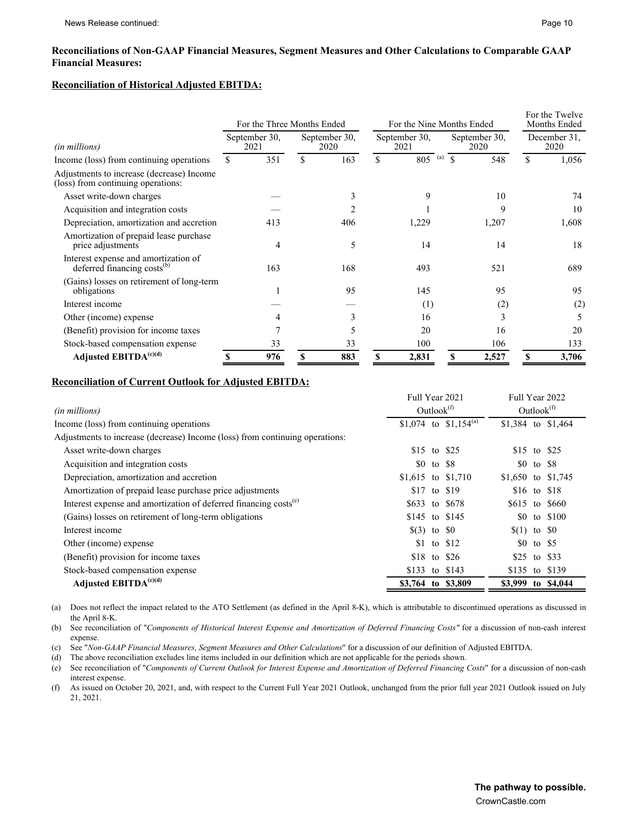#### **Reconciliations of Non-GAAP Financial Measures, Segment Measures and Other Calculations to Comparable GAAP Financial Measures:**

#### **Reconciliation of Historical Adjusted EBITDA:**

|                                                                                 | For the Nine Months Ended<br>For the Three Months Ended |     |    |                       |                       | For the Twelve<br>Months Ended |                       |       |                      |       |
|---------------------------------------------------------------------------------|---------------------------------------------------------|-----|----|-----------------------|-----------------------|--------------------------------|-----------------------|-------|----------------------|-------|
| (in millions)                                                                   | September 30.<br>2021                                   |     |    | September 30.<br>2020 | September 30.<br>2021 |                                | September 30,<br>2020 |       | December 31.<br>2020 |       |
| Income (loss) from continuing operations                                        | \$.                                                     | 351 | \$ | 163                   | \$                    | (a)<br>805                     | $\mathbf S$           | 548   | \$                   | 1,056 |
| Adjustments to increase (decrease) Income<br>(loss) from continuing operations: |                                                         |     |    |                       |                       |                                |                       |       |                      |       |
| Asset write-down charges                                                        |                                                         |     |    | f.                    |                       | 9                              |                       | 10    |                      | 74    |
| Acquisition and integration costs                                               |                                                         |     |    |                       |                       |                                |                       | 9     |                      | 10    |
| Depreciation, amortization and accretion                                        |                                                         | 413 |    | 406                   |                       | 1,229                          |                       | 1,207 |                      | 1,608 |
| Amortization of prepaid lease purchase<br>price adjustments                     |                                                         | 4   |    | 5                     |                       | 14                             |                       | 14    |                      | 18    |
| Interest expense and amortization of<br>deferred financing costs <sup>(b)</sup> |                                                         | 163 |    | 168                   |                       | 493                            |                       | 521   |                      | 689   |
| (Gains) losses on retirement of long-term<br>obligations                        |                                                         |     |    | 95                    |                       | 145                            |                       | 95    |                      | 95    |
| Interest income                                                                 |                                                         |     |    |                       |                       | (1)                            |                       | (2)   |                      | (2)   |
| Other (income) expense                                                          |                                                         |     |    | 3                     |                       | 16                             |                       | 3     |                      |       |
| (Benefit) provision for income taxes                                            |                                                         |     |    | 5                     |                       | 20                             |                       | 16    |                      | 20    |
| Stock-based compensation expense                                                |                                                         | 33  |    | 33                    |                       | 100                            |                       | 106   |                      | 133   |
| Adjusted EBITDA <sup>(c)(d)</sup>                                               |                                                         | 976 |    | 883                   |                       | 2,831                          | \$                    | 2,527 | S                    | 3,706 |

#### **Reconciliation of Current Outlook for Adjusted EBITDA:**

|                                                                              | Full Year 2021 |               |                                   | Full Year 2022     |               |                |  |  |
|------------------------------------------------------------------------------|----------------|---------------|-----------------------------------|--------------------|---------------|----------------|--|--|
| (in millions)                                                                |                | Outlook $(f)$ |                                   |                    | Outlook $(f)$ |                |  |  |
| Income (loss) from continuing operations                                     |                |               | \$1,074 to \$1,154 <sup>(a)</sup> | \$1,384 to \$1,464 |               |                |  |  |
| Adjustments to increase (decrease) Income (loss) from continuing operations: |                |               |                                   |                    |               |                |  |  |
| Asset write-down charges                                                     | \$15 to \$25   |               |                                   | \$15 to \$25       |               |                |  |  |
| Acquisition and integration costs                                            |                |               | \$0 to \$8                        |                    |               | \$0 to \$8     |  |  |
| Depreciation, amortization and accretion                                     |                |               | \$1,615 to \$1,710                | \$1,650 to \$1,745 |               |                |  |  |
| Amortization of prepaid lease purchase price adjustments                     |                |               | \$17 to \$19                      |                    |               | \$16 to \$18   |  |  |
| Interest expense and amortization of deferred financing costs <sup>(e)</sup> |                |               | \$633 to \$678                    |                    |               | \$615 to \$660 |  |  |
| (Gains) losses on retirement of long-term obligations                        |                |               | \$145 to \$145                    |                    |               | \$0 to \$100   |  |  |
| Interest income                                                              | $(3)$ to $\&0$ |               |                                   | $(1)$ to $\&0$     |               |                |  |  |
| Other (income) expense                                                       |                |               | \$1 to \$12                       |                    |               | \$0 to \$5     |  |  |
| (Benefit) provision for income taxes                                         |                |               | \$18 to \$26                      | \$25 to \$33       |               |                |  |  |
| Stock-based compensation expense                                             |                |               | \$133 to \$143                    |                    |               | \$135 to \$139 |  |  |
| Adjusted EBITDA <sup>(c)(d)</sup>                                            |                |               | \$3,764 to \$3,809                | \$3,999 to \$4,044 |               |                |  |  |

(a) Does not reflect the impact related to the ATO Settlement (as defined in the April 8-K), which is attributable to discontinued operations as discussed in the April 8-K.

(b) See reconciliation of "*Components of Historical Interest Expense and Amortization of Deferred Financing Costs*" for a discussion of non-cash interest expense.

(c) See "*Non-GAAP Financial Measures, Segment Measures and Other Calculations*" for a discussion of our definition of Adjusted EBITDA.

(d) The above reconciliation excludes line items included in our definition which are not applicable for the periods shown.

(e) See reconciliation of "*Components of Current Outlook for Interest Expense and Amortization of Deferred Financing Costs*" for a discussion of non-cash interest expense.

(f) As issued on October 20, 2021, and, with respect to the Current Full Year 2021 Outlook, unchanged from the prior full year 2021 Outlook issued on July 21, 2021.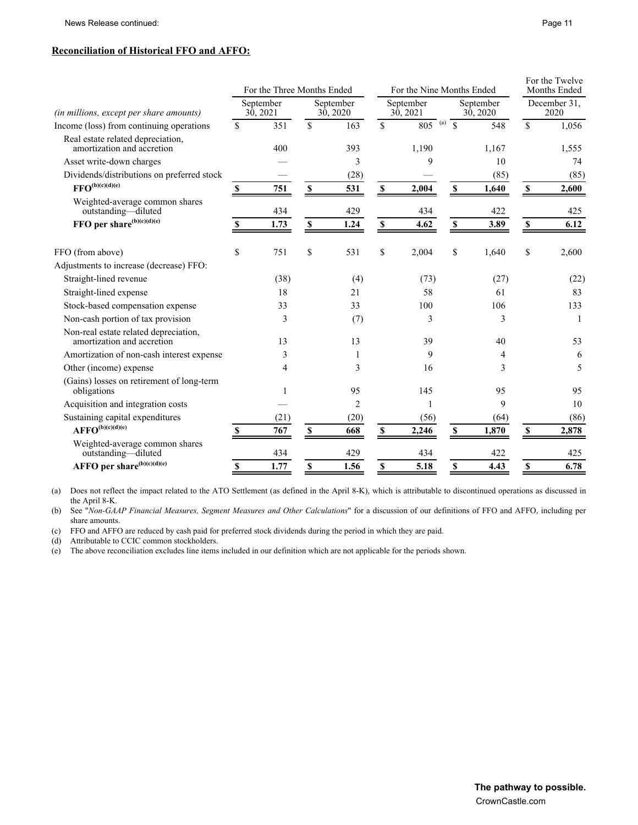### **Reconciliation of Historical FFO and AFFO:**

|                                                                                                       |                       | For the Three Months Ended |                    |                       | For the Nine Months Ended |                |                       |               | For the Twelve<br>Months Ended |               |
|-------------------------------------------------------------------------------------------------------|-----------------------|----------------------------|--------------------|-----------------------|---------------------------|----------------|-----------------------|---------------|--------------------------------|---------------|
| (in millions, except per share amounts)                                                               | September<br>30, 2021 |                            |                    | September<br>30, 2020 | September<br>30, 2021     |                | September<br>30, 2020 |               | December 31,<br>2020           |               |
| Income (loss) from continuing operations                                                              | \$                    | 351                        | \$                 | 163                   | \$                        | $805^{(a)}$ \$ |                       | 548           | \$                             | 1,056         |
| Real estate related depreciation,<br>amortization and accretion                                       |                       | 400                        |                    | 393                   |                           | 1,190          |                       | 1,167         |                                | 1,555         |
| Asset write-down charges                                                                              |                       |                            |                    | 3                     |                           | 9              |                       | 10            |                                | 74            |
| Dividends/distributions on preferred stock<br>$\text{FFO}^{(\text{b})(\text{c})(\text{d})(\text{e})}$ | S                     | 751                        | $\pmb{\mathbb{S}}$ | (28)<br>531           | $\pmb{\mathbb{S}}$        | 2,004          | $\mathbb S$           | (85)<br>1,640 | $\boldsymbol{\mathsf{S}}$      | (85)<br>2,600 |
| Weighted-average common shares<br>outstanding-diluted                                                 |                       | 434                        |                    | 429                   |                           | 434            |                       | 422           |                                | 425           |
| FFO per share ${}^{(b)(c)(d)(e)}$                                                                     | S                     | 1.73                       | $\mathbf S$        | 1.24                  | $\pmb{\mathbb{S}}$        | 4.62           | $\mathbb S$           | 3.89          | $\boldsymbol{\mathsf{S}}$      | 6.12          |
| FFO (from above)                                                                                      | \$                    | 751                        | \$                 | 531                   | \$                        | 2,004          | \$                    | 1,640         | \$                             | 2,600         |
| Adjustments to increase (decrease) FFO:                                                               |                       |                            |                    |                       |                           |                |                       |               |                                |               |
| Straight-lined revenue                                                                                |                       | (38)                       |                    | (4)                   |                           | (73)           |                       | (27)          |                                | (22)          |
| Straight-lined expense                                                                                |                       | 18                         |                    | 21                    |                           | 58             |                       | 61            |                                | 83            |
| Stock-based compensation expense                                                                      |                       | 33                         |                    | 33                    |                           | 100            |                       | 106           |                                | 133           |
| Non-cash portion of tax provision                                                                     |                       | 3                          |                    | (7)                   |                           | 3              |                       | 3             |                                | $\mathbf{1}$  |
| Non-real estate related depreciation,<br>amortization and accretion                                   |                       | 13                         |                    | 13                    |                           | 39             |                       | 40            |                                | 53            |
| Amortization of non-cash interest expense                                                             |                       | 3                          |                    | 1                     |                           | 9              |                       | 4             |                                | 6             |
| Other (income) expense                                                                                |                       | 4                          |                    | 3                     |                           | 16             |                       | 3             |                                | 5             |
| (Gains) losses on retirement of long-term<br>obligations                                              |                       |                            |                    | 95                    |                           | 145            |                       | 95            |                                | 95            |
| Acquisition and integration costs                                                                     |                       |                            |                    | $\overline{2}$        |                           | $\mathbf{1}$   |                       | 9             |                                | 10            |
| Sustaining capital expenditures                                                                       |                       | (21)                       |                    | (20)                  |                           | (56)           |                       | (64)          |                                | (86)          |
| $\mathrm{AFFO}^{(\mathrm{b})(\mathrm{c})(\mathrm{d})(\mathrm{e})}$                                    |                       | 767                        | \$                 | 668                   | \$                        | 2.246          | S                     | 1,870         | S                              | 2,878         |
| Weighted-average common shares<br>outstanding-diluted                                                 |                       | 434                        |                    | 429                   |                           | 434            |                       | 422           |                                | 425           |
| AFFO per share <sup>(b)(c)(d)(e)</sup>                                                                | \$                    | 1.77                       | \$                 | 1.56                  | \$                        | 5.18           | \$                    | 4.43          | \$                             | 6.78          |

(a) Does not reflect the impact related to the ATO Settlement (as defined in the April 8-K), which is attributable to discontinued operations as discussed in the April 8-K.

(b) See "*Non-GAAP Financial Measures, Segment Measures and Other Calculations*" for a discussion of our definitions of FFO and AFFO, including per share amounts.

(c) FFO and AFFO are reduced by cash paid for preferred stock dividends during the period in which they are paid.

(d) Attributable to CCIC common stockholders.

(e) The above reconciliation excludes line items included in our definition which are not applicable for the periods shown.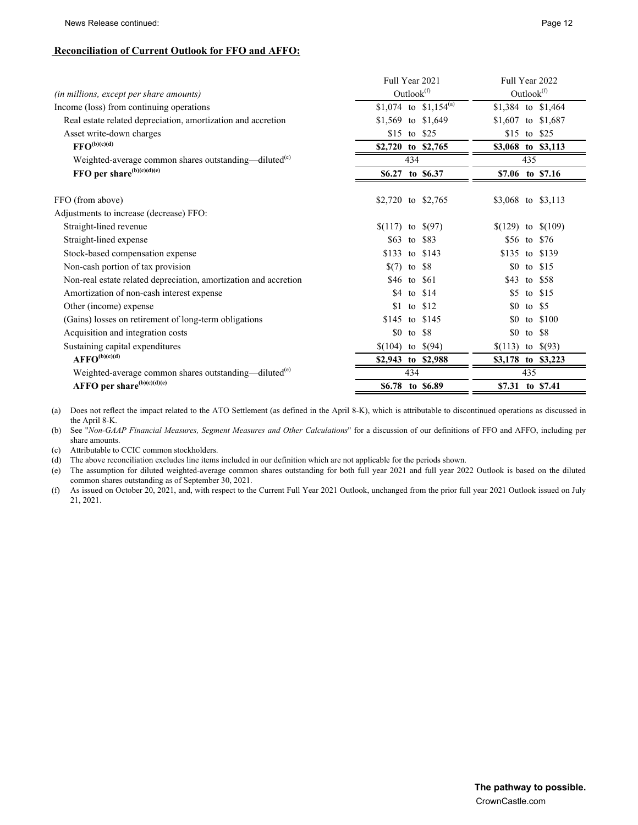News Release continued: Page 12

## **Reconciliation of Current Outlook for FFO and AFFO:**

| Full Year 2021                    | Full Year 2022         |  |  |  |  |
|-----------------------------------|------------------------|--|--|--|--|
| Outlook <sup>(f)</sup>            | Outlook <sup>(f)</sup> |  |  |  |  |
| \$1,074 to \$1,154 <sup>(a)</sup> | \$1,384 to \$1,464     |  |  |  |  |
| \$1,569 to \$1,649                | \$1,607 to \$1,687     |  |  |  |  |
| \$15 to \$25                      | \$15 to \$25           |  |  |  |  |
| \$2,720 to \$2,765                | \$3,068 to \$3,113     |  |  |  |  |
| 434                               | 435                    |  |  |  |  |
| \$6.27 to \$6.37                  | \$7.06 to \$7.16       |  |  |  |  |
| \$2,720 to \$2,765                | \$3,068 to \$3,113     |  |  |  |  |
|                                   |                        |  |  |  |  |
| $(117)$ to $(97)$                 | $(129)$ to $(109)$     |  |  |  |  |
| \$63 to \$83                      | \$56 to \$76           |  |  |  |  |
| \$133 to \$143                    | \$135 to \$139         |  |  |  |  |
| $(7)$ to \$8                      | \$15<br>\$0<br>to      |  |  |  |  |
| \$46 to \$61                      | \$43<br>\$58<br>to     |  |  |  |  |
| \$4 to \$14                       | \$5<br>to $$15$        |  |  |  |  |
| $$1$ to $$12$                     | to $$5$<br>\$0         |  |  |  |  |
| \$145 to \$145                    | \$100<br>\$0<br>to     |  |  |  |  |
| \$0 to \$8                        | \$0<br>to \$8          |  |  |  |  |
| $$(104)$ to $$(94)$               | $(113)$ to $(93)$      |  |  |  |  |
| \$2,943 to \$2,988                | \$3,178 to \$3,223     |  |  |  |  |
| 434                               | 435                    |  |  |  |  |
| \$6.78 to \$6.89                  | \$7.31 to \$7.41       |  |  |  |  |
|                                   |                        |  |  |  |  |

(a) Does not reflect the impact related to the ATO Settlement (as defined in the April 8-K), which is attributable to discontinued operations as discussed in the April 8-K.

(b) See "*Non-GAAP Financial Measures, Segment Measures and Other Calculations*" for a discussion of our definitions of FFO and AFFO, including per share amounts.

(c) Attributable to CCIC common stockholders.

(d) The above reconciliation excludes line items included in our definition which are not applicable for the periods shown.

(e) The assumption for diluted weighted-average common shares outstanding for both full year 2021 and full year 2022 Outlook is based on the diluted common shares outstanding as of September 30, 2021.

(f) As issued on October 20, 2021, and, with respect to the Current Full Year 2021 Outlook, unchanged from the prior full year 2021 Outlook issued on July 21, 2021.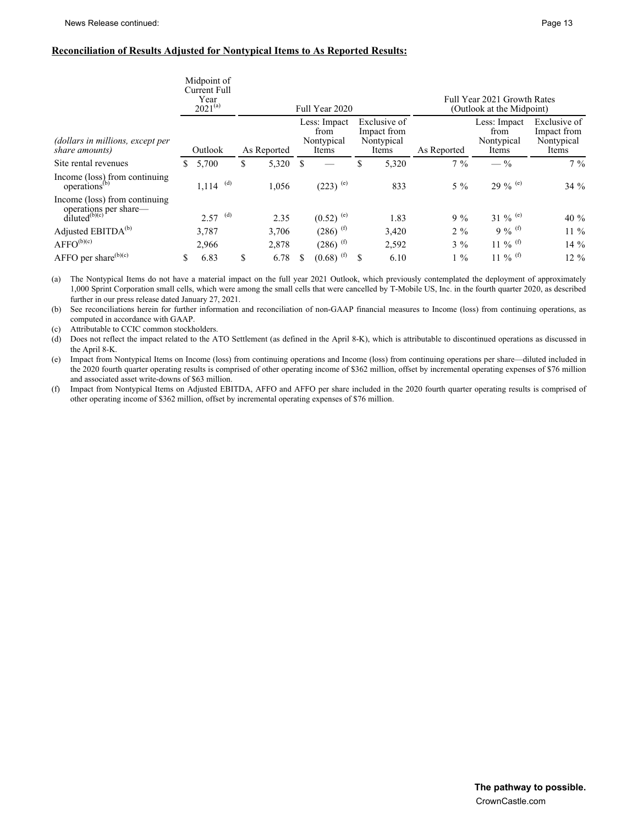#### **Reconciliation of Results Adjusted for Nontypical Items to As Reported Results:**

|                                                                              |   | Midpoint of<br><b>Current Full</b><br>Year<br>$2021^{(a)}$ |             | Full Year 2020                              |                                                    |             | Full Year 2021 Growth Rates<br>(Outlook at the Midpoint) |                                                    |
|------------------------------------------------------------------------------|---|------------------------------------------------------------|-------------|---------------------------------------------|----------------------------------------------------|-------------|----------------------------------------------------------|----------------------------------------------------|
| (dollars in millions, except per<br>share amounts)                           |   | Outlook                                                    | As Reported | Less: Impact<br>from<br>Nontypical<br>Items | Exclusive of<br>Impact from<br>Nontypical<br>Items | As Reported | Less: Impact<br>from<br>Nontypical<br>Items              | Exclusive of<br>Impact from<br>Nontypical<br>Items |
| Site rental revenues                                                         | S | 5,700                                                      | \$<br>5,320 |                                             | \$<br>5,320                                        | $7\%$       | $-$ %                                                    | $7\%$                                              |
| Income (loss) from continuing<br>operations <sup>(b)</sup>                   |   | (d)<br>1,114                                               | 1,056       | $(223)$ (e)                                 | 833                                                | $5\%$       | 29 % $($ e)                                              | $34\%$                                             |
| Income (loss) from continuing<br>operations per share-<br>$diluted^{(b)(c)}$ |   | $2.57$ <sup>(d)</sup>                                      | 2.35        | $(0.52)$ <sup>(e)</sup>                     | 1.83                                               | $9\%$       | 31 % $($ e)                                              | 40 $%$                                             |
| Adjusted EBITDA <sup>(b)</sup>                                               |   | 3,787                                                      | 3,706       | $(286)$ <sup>(f)</sup>                      | 3,420                                              | $2\%$       | 9 % $^{(f)}$                                             | $11\%$                                             |
| $AFFO^{(b)(c)}$                                                              |   | 2,966                                                      | 2,878       | $(286)$ <sup>(f)</sup>                      | 2,592                                              | $3\%$       | 11 % $^{(f)}$                                            | $14\%$                                             |
| AFFO per share $(b)(c)$                                                      | S | 6.83                                                       | \$<br>6.78  | $(0.68)$ <sup>(f)</sup>                     | 6.10                                               | $1\%$       | 11 % $^{(f)}$                                            | 12 %                                               |

(a) The Nontypical Items do not have a material impact on the full year 2021 Outlook, which previously contemplated the deployment of approximately 1,000 Sprint Corporation small cells, which were among the small cells that were cancelled by T-Mobile US, Inc. in the fourth quarter 2020, as described further in our press release dated January 27, 2021.

(b) See reconciliations herein for further information and reconciliation of non-GAAP financial measures to Income (loss) from continuing operations, as computed in accordance with GAAP.

(c) Attributable to CCIC common stockholders.

(d) Does not reflect the impact related to the ATO Settlement (as defined in the April 8-K), which is attributable to discontinued operations as discussed in the April 8-K.

(e) Impact from Nontypical Items on Income (loss) from continuing operations and Income (loss) from continuing operations per share—diluted included in the 2020 fourth quarter operating results is comprised of other operating income of \$362 million, offset by incremental operating expenses of \$76 million and associated asset write-downs of \$63 million.

(f) Impact from Nontypical Items on Adjusted EBITDA, AFFO and AFFO per share included in the 2020 fourth quarter operating results is comprised of other operating income of \$362 million, offset by incremental operating expenses of \$76 million.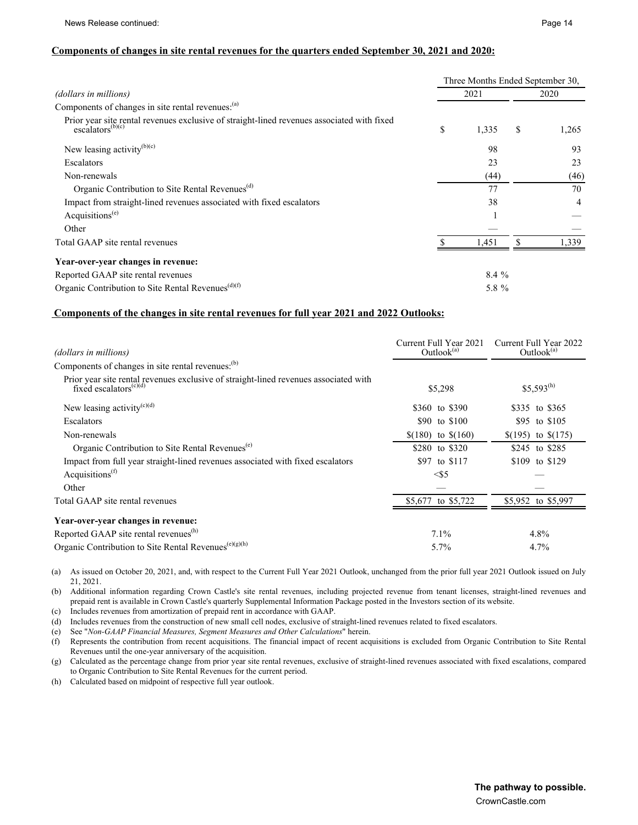#### **Components of changes in site rental revenues for the quarters ended September 30, 2021 and 2020:**

|                                                                                                                                       | Three Months Ended September 30, |         |    |       |  |  |  |
|---------------------------------------------------------------------------------------------------------------------------------------|----------------------------------|---------|----|-------|--|--|--|
| (dollars in millions)                                                                                                                 |                                  | 2021    |    | 2020  |  |  |  |
| Components of changes in site rental revenues: <sup>(a)</sup>                                                                         |                                  |         |    |       |  |  |  |
| Prior year site rental revenues exclusive of straight-lined revenues associated with fixed<br>$\overline{\text{escalators}}^{(b)(c)}$ | \$                               | 1,335   | \$ | 1,265 |  |  |  |
| New leasing activity <sup>(b)(c)</sup>                                                                                                |                                  | 98      |    | 93    |  |  |  |
| Escalators                                                                                                                            |                                  | 23      |    | 23    |  |  |  |
| Non-renewals                                                                                                                          |                                  | (44)    |    | (46)  |  |  |  |
| Organic Contribution to Site Rental Revenues <sup>(d)</sup>                                                                           |                                  | 77      |    | 70    |  |  |  |
| Impact from straight-lined revenues associated with fixed escalators                                                                  |                                  | 38      |    | 4     |  |  |  |
| Acquisitions <sup><math>(e)</math></sup>                                                                                              |                                  |         |    |       |  |  |  |
| Other                                                                                                                                 |                                  |         |    |       |  |  |  |
| Total GAAP site rental revenues                                                                                                       |                                  | 1,451   |    | 1.339 |  |  |  |
| Year-over-year changes in revenue:                                                                                                    |                                  |         |    |       |  |  |  |
| Reported GAAP site rental revenues                                                                                                    |                                  | $8.4\%$ |    |       |  |  |  |
| Organic Contribution to Site Rental Revenues <sup>(d)(f)</sup>                                                                        |                                  | 5.8 %   |    |       |  |  |  |

#### **Components of the changes in site rental revenues for full year 2021 and 2022 Outlooks:**

| (dollars in millions)                                                                                                                   | Current Full Year 2021<br>Outlook $^{(a)}$ | Current Full Year 2022<br>Outlook $^{(a)}$ |
|-----------------------------------------------------------------------------------------------------------------------------------------|--------------------------------------------|--------------------------------------------|
| Components of changes in site rental revenues: <sup>(b)</sup>                                                                           |                                            |                                            |
| Prior year site rental revenues exclusive of straight-lined revenues associated with<br>fixed escalators <sup><math>(c)(d)</math></sup> | \$5,298                                    | $$5,593^{(h)}$$                            |
| New leasing activity <sup>(c)(d)</sup>                                                                                                  | \$360 to \$390                             | \$335 to \$365                             |
| Escalators                                                                                                                              | \$90 to \$100                              | \$95 to \$105                              |
| Non-renewals                                                                                                                            | $$(180)$ to $$(160)$                       | $(195)$ to $(175)$                         |
| Organic Contribution to Site Rental Revenues <sup>(e)</sup>                                                                             | \$280 to \$320                             | \$245 to \$285                             |
| Impact from full year straight-lined revenues associated with fixed escalators                                                          | \$97 to \$117                              | \$109 to \$129                             |
| Acquisitions <sup>(f)</sup>                                                                                                             | $<\!\!55$                                  |                                            |
| Other                                                                                                                                   |                                            |                                            |
| Total GAAP site rental revenues                                                                                                         | \$5,677 to \$5,722                         | \$5,952 to \$5,997                         |
| Year-over-year changes in revenue:                                                                                                      |                                            |                                            |
| Reported GAAP site rental revenues <sup>(h)</sup>                                                                                       | 7.1%                                       | $4.8\%$                                    |
| Organic Contribution to Site Rental Revenues <sup>(e)(g)(h)</sup>                                                                       | 5.7%                                       | 4.7%                                       |

(a) As issued on October 20, 2021, and, with respect to the Current Full Year 2021 Outlook, unchanged from the prior full year 2021 Outlook issued on July 21, 2021.

(b) Additional information regarding Crown Castle's site rental revenues, including projected revenue from tenant licenses, straight-lined revenues and prepaid rent is available in Crown Castle's quarterly Supplemental Information Package posted in the Investors section of its website.

(c) Includes revenues from amortization of prepaid rent in accordance with GAAP.

(d) Includes revenues from the construction of new small cell nodes, exclusive of straight-lined revenues related to fixed escalators.

(e) See "*Non-GAAP Financial Measures, Segment Measures and Other Calculations*" herein.

(f) Represents the contribution from recent acquisitions. The financial impact of recent acquisitions is excluded from Organic Contribution to Site Rental Revenues until the one-year anniversary of the acquisition.

(g) Calculated as the percentage change from prior year site rental revenues, exclusive of straight-lined revenues associated with fixed escalations, compared to Organic Contribution to Site Rental Revenues for the current period.

(h) Calculated based on midpoint of respective full year outlook.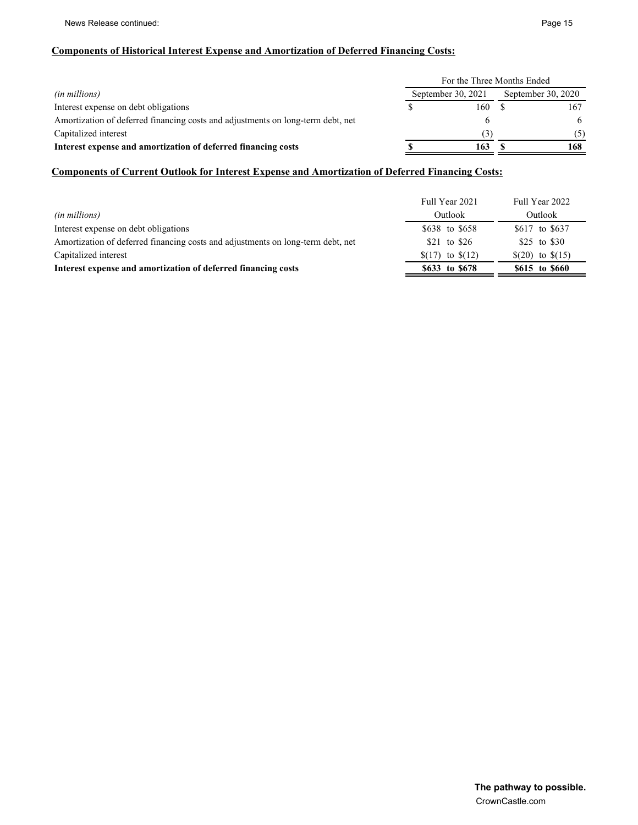#### **Components of Historical Interest Expense and Amortization of Deferred Financing Costs:**

|                                                                                 | For the Three Months Ended               |     |  |     |  |  |  |
|---------------------------------------------------------------------------------|------------------------------------------|-----|--|-----|--|--|--|
| <i>(in millions)</i>                                                            | September 30, 2021<br>September 30, 2020 |     |  |     |  |  |  |
| Interest expense on debt obligations                                            |                                          | 160 |  | 167 |  |  |  |
| Amortization of deferred financing costs and adjustments on long-term debt, net |                                          |     |  | 6   |  |  |  |
| Capitalized interest                                                            |                                          | (3) |  | (5) |  |  |  |
| Interest expense and amortization of deferred financing costs                   |                                          | 163 |  | 168 |  |  |  |

#### **Components of Current Outlook for Interest Expense and Amortization of Deferred Financing Costs:**

|                                                                                 | Full Year 2021   | Full Year 2022   |
|---------------------------------------------------------------------------------|------------------|------------------|
| (in millions)                                                                   | Outlook          | Outlook          |
| Interest expense on debt obligations                                            | \$638 to \$658   | \$617 to \$637   |
| Amortization of deferred financing costs and adjustments on long-term debt, net | \$21 to \$26     | \$25 to \$30     |
| Capitalized interest                                                            | $(17)$ to $(12)$ | $(20)$ to $(15)$ |
| Interest expense and amortization of deferred financing costs                   | \$633 to \$678   | \$615 to \$660   |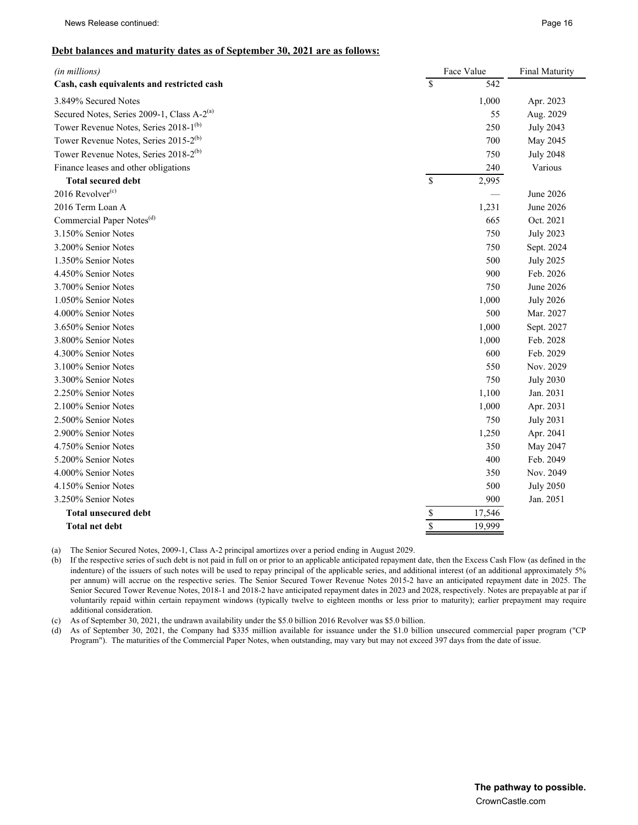#### **Debt balances and maturity dates as of September 30, 2021 are as follows:**

| $\mathbf{\hat{S}}$<br>542<br>3.849% Secured Notes<br>1,000<br>Apr. 2023<br>Secured Notes, Series 2009-1, Class A-2 <sup>(a)</sup><br>55<br>Aug. 2029<br>Tower Revenue Notes, Series 2018-1 <sup>(b)</sup><br>250<br><b>July 2043</b><br>Tower Revenue Notes, Series 2015-2 <sup>(b)</sup><br>700<br>May 2045<br>Tower Revenue Notes, Series 2018-2 <sup>(b)</sup><br>750<br><b>July 2048</b><br>Finance leases and other obligations<br>240<br>Various<br>$\mathsf{\$}$<br>2,995<br><b>Total secured debt</b><br>2016 Revolver $(c)$<br>June 2026<br>2016 Term Loan A<br>1,231<br>June 2026<br>Commercial Paper Notes <sup>(d)</sup><br>Oct. 2021<br>665<br>3.150% Senior Notes<br>750<br><b>July 2023</b><br>3.200% Senior Notes<br>750<br>Sept. 2024<br>500<br>1.350% Senior Notes<br><b>July 2025</b><br>4.450% Senior Notes<br>900<br>Feb. 2026<br>750<br>3.700% Senior Notes<br>June 2026<br>1.050% Senior Notes<br>1,000<br><b>July 2026</b><br>500<br>4.000% Senior Notes<br>Mar. 2027<br>1,000<br>3.650% Senior Notes<br>Sept. 2027<br>3.800% Senior Notes<br>1,000<br>Feb. 2028<br>600<br>4.300% Senior Notes<br>Feb. 2029<br>3.100% Senior Notes<br>550<br>Nov. 2029<br>750<br>3.300% Senior Notes<br><b>July 2030</b><br>1,100<br>2.250% Senior Notes<br>Jan. 2031<br>2.100% Senior Notes<br>1,000<br>Apr. 2031<br>750<br><b>July 2031</b><br>2.900% Senior Notes<br>1,250<br>Apr. 2041<br>4.750% Senior Notes<br>350<br>May 2047<br>5.200% Senior Notes<br>400<br>Feb. 2049<br>4.000% Senior Notes<br>350<br>Nov. 2049<br>4.150% Senior Notes<br>500<br><b>July 2050</b><br>3.250% Senior Notes<br>900<br>Jan. 2051<br>$rac{s}{s}$<br>17,546<br><b>Total unsecured debt</b><br>19,999<br><b>Total net debt</b> | (in millions)                              | Face Value |  |  |  |  |
|----------------------------------------------------------------------------------------------------------------------------------------------------------------------------------------------------------------------------------------------------------------------------------------------------------------------------------------------------------------------------------------------------------------------------------------------------------------------------------------------------------------------------------------------------------------------------------------------------------------------------------------------------------------------------------------------------------------------------------------------------------------------------------------------------------------------------------------------------------------------------------------------------------------------------------------------------------------------------------------------------------------------------------------------------------------------------------------------------------------------------------------------------------------------------------------------------------------------------------------------------------------------------------------------------------------------------------------------------------------------------------------------------------------------------------------------------------------------------------------------------------------------------------------------------------------------------------------------------------------------------------------------------------------------------------------------------------------------------|--------------------------------------------|------------|--|--|--|--|
|                                                                                                                                                                                                                                                                                                                                                                                                                                                                                                                                                                                                                                                                                                                                                                                                                                                                                                                                                                                                                                                                                                                                                                                                                                                                                                                                                                                                                                                                                                                                                                                                                                                                                                                            | Cash, cash equivalents and restricted cash |            |  |  |  |  |
|                                                                                                                                                                                                                                                                                                                                                                                                                                                                                                                                                                                                                                                                                                                                                                                                                                                                                                                                                                                                                                                                                                                                                                                                                                                                                                                                                                                                                                                                                                                                                                                                                                                                                                                            |                                            |            |  |  |  |  |
|                                                                                                                                                                                                                                                                                                                                                                                                                                                                                                                                                                                                                                                                                                                                                                                                                                                                                                                                                                                                                                                                                                                                                                                                                                                                                                                                                                                                                                                                                                                                                                                                                                                                                                                            |                                            |            |  |  |  |  |
|                                                                                                                                                                                                                                                                                                                                                                                                                                                                                                                                                                                                                                                                                                                                                                                                                                                                                                                                                                                                                                                                                                                                                                                                                                                                                                                                                                                                                                                                                                                                                                                                                                                                                                                            |                                            |            |  |  |  |  |
|                                                                                                                                                                                                                                                                                                                                                                                                                                                                                                                                                                                                                                                                                                                                                                                                                                                                                                                                                                                                                                                                                                                                                                                                                                                                                                                                                                                                                                                                                                                                                                                                                                                                                                                            |                                            |            |  |  |  |  |
|                                                                                                                                                                                                                                                                                                                                                                                                                                                                                                                                                                                                                                                                                                                                                                                                                                                                                                                                                                                                                                                                                                                                                                                                                                                                                                                                                                                                                                                                                                                                                                                                                                                                                                                            |                                            |            |  |  |  |  |
|                                                                                                                                                                                                                                                                                                                                                                                                                                                                                                                                                                                                                                                                                                                                                                                                                                                                                                                                                                                                                                                                                                                                                                                                                                                                                                                                                                                                                                                                                                                                                                                                                                                                                                                            |                                            |            |  |  |  |  |
|                                                                                                                                                                                                                                                                                                                                                                                                                                                                                                                                                                                                                                                                                                                                                                                                                                                                                                                                                                                                                                                                                                                                                                                                                                                                                                                                                                                                                                                                                                                                                                                                                                                                                                                            |                                            |            |  |  |  |  |
|                                                                                                                                                                                                                                                                                                                                                                                                                                                                                                                                                                                                                                                                                                                                                                                                                                                                                                                                                                                                                                                                                                                                                                                                                                                                                                                                                                                                                                                                                                                                                                                                                                                                                                                            |                                            |            |  |  |  |  |
|                                                                                                                                                                                                                                                                                                                                                                                                                                                                                                                                                                                                                                                                                                                                                                                                                                                                                                                                                                                                                                                                                                                                                                                                                                                                                                                                                                                                                                                                                                                                                                                                                                                                                                                            |                                            |            |  |  |  |  |
|                                                                                                                                                                                                                                                                                                                                                                                                                                                                                                                                                                                                                                                                                                                                                                                                                                                                                                                                                                                                                                                                                                                                                                                                                                                                                                                                                                                                                                                                                                                                                                                                                                                                                                                            |                                            |            |  |  |  |  |
|                                                                                                                                                                                                                                                                                                                                                                                                                                                                                                                                                                                                                                                                                                                                                                                                                                                                                                                                                                                                                                                                                                                                                                                                                                                                                                                                                                                                                                                                                                                                                                                                                                                                                                                            |                                            |            |  |  |  |  |
|                                                                                                                                                                                                                                                                                                                                                                                                                                                                                                                                                                                                                                                                                                                                                                                                                                                                                                                                                                                                                                                                                                                                                                                                                                                                                                                                                                                                                                                                                                                                                                                                                                                                                                                            |                                            |            |  |  |  |  |
|                                                                                                                                                                                                                                                                                                                                                                                                                                                                                                                                                                                                                                                                                                                                                                                                                                                                                                                                                                                                                                                                                                                                                                                                                                                                                                                                                                                                                                                                                                                                                                                                                                                                                                                            |                                            |            |  |  |  |  |
|                                                                                                                                                                                                                                                                                                                                                                                                                                                                                                                                                                                                                                                                                                                                                                                                                                                                                                                                                                                                                                                                                                                                                                                                                                                                                                                                                                                                                                                                                                                                                                                                                                                                                                                            |                                            |            |  |  |  |  |
|                                                                                                                                                                                                                                                                                                                                                                                                                                                                                                                                                                                                                                                                                                                                                                                                                                                                                                                                                                                                                                                                                                                                                                                                                                                                                                                                                                                                                                                                                                                                                                                                                                                                                                                            |                                            |            |  |  |  |  |
|                                                                                                                                                                                                                                                                                                                                                                                                                                                                                                                                                                                                                                                                                                                                                                                                                                                                                                                                                                                                                                                                                                                                                                                                                                                                                                                                                                                                                                                                                                                                                                                                                                                                                                                            |                                            |            |  |  |  |  |
|                                                                                                                                                                                                                                                                                                                                                                                                                                                                                                                                                                                                                                                                                                                                                                                                                                                                                                                                                                                                                                                                                                                                                                                                                                                                                                                                                                                                                                                                                                                                                                                                                                                                                                                            |                                            |            |  |  |  |  |
|                                                                                                                                                                                                                                                                                                                                                                                                                                                                                                                                                                                                                                                                                                                                                                                                                                                                                                                                                                                                                                                                                                                                                                                                                                                                                                                                                                                                                                                                                                                                                                                                                                                                                                                            |                                            |            |  |  |  |  |
|                                                                                                                                                                                                                                                                                                                                                                                                                                                                                                                                                                                                                                                                                                                                                                                                                                                                                                                                                                                                                                                                                                                                                                                                                                                                                                                                                                                                                                                                                                                                                                                                                                                                                                                            |                                            |            |  |  |  |  |
|                                                                                                                                                                                                                                                                                                                                                                                                                                                                                                                                                                                                                                                                                                                                                                                                                                                                                                                                                                                                                                                                                                                                                                                                                                                                                                                                                                                                                                                                                                                                                                                                                                                                                                                            |                                            |            |  |  |  |  |
|                                                                                                                                                                                                                                                                                                                                                                                                                                                                                                                                                                                                                                                                                                                                                                                                                                                                                                                                                                                                                                                                                                                                                                                                                                                                                                                                                                                                                                                                                                                                                                                                                                                                                                                            |                                            |            |  |  |  |  |
|                                                                                                                                                                                                                                                                                                                                                                                                                                                                                                                                                                                                                                                                                                                                                                                                                                                                                                                                                                                                                                                                                                                                                                                                                                                                                                                                                                                                                                                                                                                                                                                                                                                                                                                            |                                            |            |  |  |  |  |
|                                                                                                                                                                                                                                                                                                                                                                                                                                                                                                                                                                                                                                                                                                                                                                                                                                                                                                                                                                                                                                                                                                                                                                                                                                                                                                                                                                                                                                                                                                                                                                                                                                                                                                                            |                                            |            |  |  |  |  |
|                                                                                                                                                                                                                                                                                                                                                                                                                                                                                                                                                                                                                                                                                                                                                                                                                                                                                                                                                                                                                                                                                                                                                                                                                                                                                                                                                                                                                                                                                                                                                                                                                                                                                                                            |                                            |            |  |  |  |  |
|                                                                                                                                                                                                                                                                                                                                                                                                                                                                                                                                                                                                                                                                                                                                                                                                                                                                                                                                                                                                                                                                                                                                                                                                                                                                                                                                                                                                                                                                                                                                                                                                                                                                                                                            | 2.500% Senior Notes                        |            |  |  |  |  |
|                                                                                                                                                                                                                                                                                                                                                                                                                                                                                                                                                                                                                                                                                                                                                                                                                                                                                                                                                                                                                                                                                                                                                                                                                                                                                                                                                                                                                                                                                                                                                                                                                                                                                                                            |                                            |            |  |  |  |  |
|                                                                                                                                                                                                                                                                                                                                                                                                                                                                                                                                                                                                                                                                                                                                                                                                                                                                                                                                                                                                                                                                                                                                                                                                                                                                                                                                                                                                                                                                                                                                                                                                                                                                                                                            |                                            |            |  |  |  |  |
|                                                                                                                                                                                                                                                                                                                                                                                                                                                                                                                                                                                                                                                                                                                                                                                                                                                                                                                                                                                                                                                                                                                                                                                                                                                                                                                                                                                                                                                                                                                                                                                                                                                                                                                            |                                            |            |  |  |  |  |
|                                                                                                                                                                                                                                                                                                                                                                                                                                                                                                                                                                                                                                                                                                                                                                                                                                                                                                                                                                                                                                                                                                                                                                                                                                                                                                                                                                                                                                                                                                                                                                                                                                                                                                                            |                                            |            |  |  |  |  |
|                                                                                                                                                                                                                                                                                                                                                                                                                                                                                                                                                                                                                                                                                                                                                                                                                                                                                                                                                                                                                                                                                                                                                                                                                                                                                                                                                                                                                                                                                                                                                                                                                                                                                                                            |                                            |            |  |  |  |  |
|                                                                                                                                                                                                                                                                                                                                                                                                                                                                                                                                                                                                                                                                                                                                                                                                                                                                                                                                                                                                                                                                                                                                                                                                                                                                                                                                                                                                                                                                                                                                                                                                                                                                                                                            |                                            |            |  |  |  |  |
|                                                                                                                                                                                                                                                                                                                                                                                                                                                                                                                                                                                                                                                                                                                                                                                                                                                                                                                                                                                                                                                                                                                                                                                                                                                                                                                                                                                                                                                                                                                                                                                                                                                                                                                            |                                            |            |  |  |  |  |
|                                                                                                                                                                                                                                                                                                                                                                                                                                                                                                                                                                                                                                                                                                                                                                                                                                                                                                                                                                                                                                                                                                                                                                                                                                                                                                                                                                                                                                                                                                                                                                                                                                                                                                                            |                                            |            |  |  |  |  |

(a) The Senior Secured Notes, 2009-1, Class A-2 principal amortizes over a period ending in August 2029.

(b) If the respective series of such debt is not paid in full on or prior to an applicable anticipated repayment date, then the Excess Cash Flow (as defined in the indenture) of the issuers of such notes will be used to repay principal of the applicable series, and additional interest (of an additional approximately 5% per annum) will accrue on the respective series. The Senior Secured Tower Revenue Notes 2015-2 have an anticipated repayment date in 2025. The Senior Secured Tower Revenue Notes, 2018-1 and 2018-2 have anticipated repayment dates in 2023 and 2028, respectively. Notes are prepayable at par if voluntarily repaid within certain repayment windows (typically twelve to eighteen months or less prior to maturity); earlier prepayment may require additional consideration.

(c) As of September 30, 2021, the undrawn availability under the \$5.0 billion 2016 Revolver was \$5.0 billion.

(d) As of September 30, 2021, the Company had \$335 million available for issuance under the \$1.0 billion unsecured commercial paper program ("CP Program"). The maturities of the Commercial Paper Notes, when outstanding, may vary but may not exceed 397 days from the date of issue.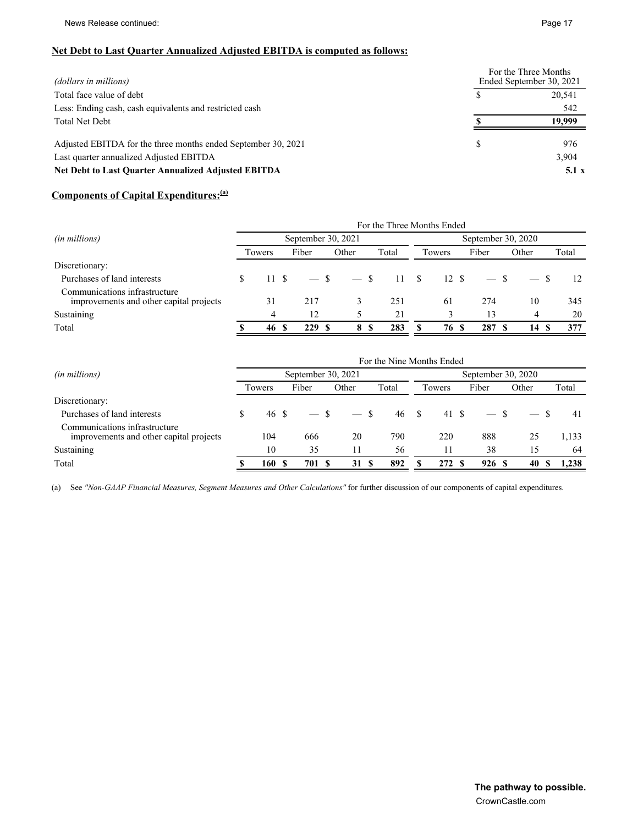### **Net Debt to Last Quarter Annualized Adjusted EBITDA is computed as follows:**

| (dollars in millions)                                         | For the Three Months<br>Ended September 30, 2021 |
|---------------------------------------------------------------|--------------------------------------------------|
| Total face value of debt                                      | 20.541                                           |
| Less: Ending cash, cash equivalents and restricted cash       | 542                                              |
| <b>Total Net Debt</b>                                         | 19.999                                           |
| Adjusted EBITDA for the three months ended September 30, 2021 | 976                                              |
| Last quarter annualized Adjusted EBITDA                       | 3,904                                            |
| <b>Net Debt to Last Quarter Annualized Adjusted EBITDA</b>    | 5.1 x                                            |

## **Components of Capital Expenditures:(a)**

|                                                                          | For the Three Months Ended               |        |  |             |        |           |       |        |        |       |       |
|--------------------------------------------------------------------------|------------------------------------------|--------|--|-------------|--------|-----------|-------|--------|--------|-------|-------|
| (in millions)                                                            | September 30, 2021<br>September 30, 2020 |        |  |             |        |           |       |        |        |       |       |
|                                                                          |                                          | Towers |  | Fiber       | Other  | Total     |       | Towers | Fiber  | Other | Total |
| Discretionary:                                                           |                                          |        |  |             |        |           |       |        |        |       |       |
| Purchases of land interests                                              | S                                        | 11S    |  | $-$ \$      | $-$ \$ |           | 11 \$ | 12 S   | $-$ \$ |       | 12    |
| Communications infrastructure<br>improvements and other capital projects |                                          | 31     |  | 217         |        | 251       |       | 61     | 274    | 10    | 345   |
| Sustaining                                                               |                                          | 4      |  | 12          |        | 21        |       |        | 13     | 4     | 20    |
| Total                                                                    |                                          | 46     |  | 229<br>- \$ | 8      | 283<br>-S |       | 76     | 287    | 14    | 377   |

|                                                                          | For the Nine Months Ended                |        |  |       |  |        |     |       |  |        |       |       |  |       |
|--------------------------------------------------------------------------|------------------------------------------|--------|--|-------|--|--------|-----|-------|--|--------|-------|-------|--|-------|
| (in millions)                                                            | September 30, 2021<br>September 30, 2020 |        |  |       |  |        |     |       |  |        |       |       |  |       |
|                                                                          |                                          | Towers |  | Fiber |  | Other  |     | Total |  | Towers | Fiber | Other |  | Total |
| Discretionary:                                                           |                                          |        |  |       |  |        |     |       |  |        |       |       |  |       |
| Purchases of land interests                                              | \$                                       | 46 \$  |  |       |  | $-$ \$ |     | 46 S  |  | 41 \$  |       |       |  | 41    |
| Communications infrastructure<br>improvements and other capital projects |                                          | 104    |  | 666   |  | 20     |     | 790   |  | 220    | 888   | 25    |  | 1,133 |
| Sustaining                                                               |                                          | 10     |  | 35    |  | 11     |     | 56    |  | 11     | 38    | 15    |  | 64    |
| Total                                                                    |                                          | 160    |  | 701   |  | 31     | - S | 892   |  | 272 \$ | 926 S | 40    |  | 1.238 |

(a) See *"Non-GAAP Financial Measures, Segment Measures and Other Calculations"* for further discussion of our components of capital expenditures.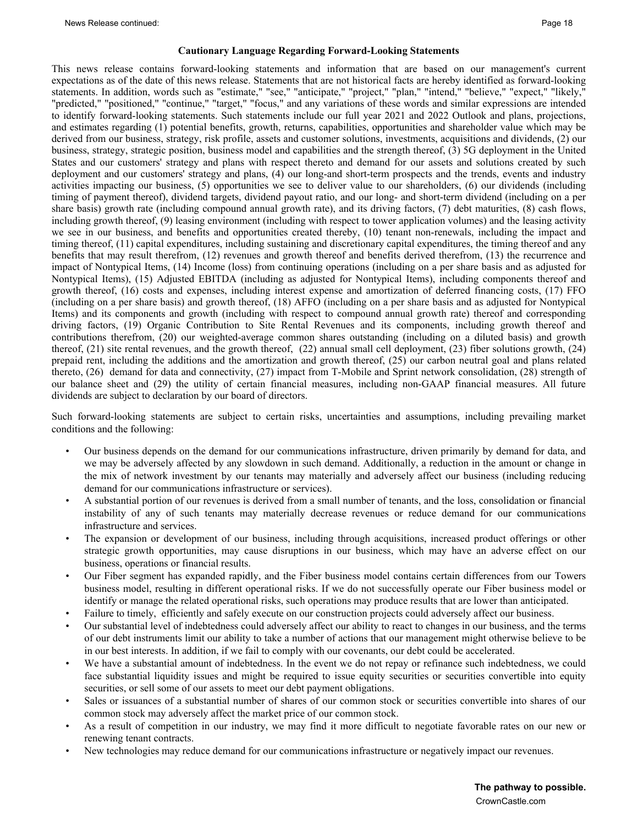#### **Cautionary Language Regarding Forward-Looking Statements**

This news release contains forward-looking statements and information that are based on our management's current expectations as of the date of this news release. Statements that are not historical facts are hereby identified as forward-looking statements. In addition, words such as "estimate," "see," "anticipate," "project," "plan," "intend," "believe," "expect," "likely," "predicted," "positioned," "continue," "target," "focus," and any variations of these words and similar expressions are intended to identify forward-looking statements. Such statements include our full year 2021 and 2022 Outlook and plans, projections, and estimates regarding (1) potential benefits, growth, returns, capabilities, opportunities and shareholder value which may be derived from our business, strategy, risk profile, assets and customer solutions, investments, acquisitions and dividends, (2) our business, strategy, strategic position, business model and capabilities and the strength thereof, (3) 5G deployment in the United States and our customers' strategy and plans with respect thereto and demand for our assets and solutions created by such deployment and our customers' strategy and plans, (4) our long-and short-term prospects and the trends, events and industry activities impacting our business, (5) opportunities we see to deliver value to our shareholders, (6) our dividends (including timing of payment thereof), dividend targets, dividend payout ratio, and our long- and short-term dividend (including on a per share basis) growth rate (including compound annual growth rate), and its driving factors, (7) debt maturities, (8) cash flows, including growth thereof, (9) leasing environment (including with respect to tower application volumes) and the leasing activity we see in our business, and benefits and opportunities created thereby, (10) tenant non-renewals, including the impact and timing thereof, (11) capital expenditures, including sustaining and discretionary capital expenditures, the timing thereof and any benefits that may result therefrom, (12) revenues and growth thereof and benefits derived therefrom, (13) the recurrence and impact of Nontypical Items, (14) Income (loss) from continuing operations (including on a per share basis and as adjusted for Nontypical Items), (15) Adjusted EBITDA (including as adjusted for Nontypical Items), including components thereof and growth thereof, (16) costs and expenses, including interest expense and amortization of deferred financing costs, (17) FFO (including on a per share basis) and growth thereof, (18) AFFO (including on a per share basis and as adjusted for Nontypical Items) and its components and growth (including with respect to compound annual growth rate) thereof and corresponding driving factors, (19) Organic Contribution to Site Rental Revenues and its components, including growth thereof and contributions therefrom, (20) our weighted-average common shares outstanding (including on a diluted basis) and growth thereof, (21) site rental revenues, and the growth thereof, (22) annual small cell deployment, (23) fiber solutions growth, (24) prepaid rent, including the additions and the amortization and growth thereof, (25) our carbon neutral goal and plans related thereto, (26) demand for data and connectivity, (27) impact from T-Mobile and Sprint network consolidation, (28) strength of our balance sheet and (29) the utility of certain financial measures, including non-GAAP financial measures. All future dividends are subject to declaration by our board of directors.

Such forward-looking statements are subject to certain risks, uncertainties and assumptions, including prevailing market conditions and the following:

- Our business depends on the demand for our communications infrastructure, driven primarily by demand for data, and we may be adversely affected by any slowdown in such demand. Additionally, a reduction in the amount or change in the mix of network investment by our tenants may materially and adversely affect our business (including reducing demand for our communications infrastructure or services).
- A substantial portion of our revenues is derived from a small number of tenants, and the loss, consolidation or financial instability of any of such tenants may materially decrease revenues or reduce demand for our communications infrastructure and services.
- The expansion or development of our business, including through acquisitions, increased product offerings or other strategic growth opportunities, may cause disruptions in our business, which may have an adverse effect on our business, operations or financial results.
- Our Fiber segment has expanded rapidly, and the Fiber business model contains certain differences from our Towers business model, resulting in different operational risks. If we do not successfully operate our Fiber business model or identify or manage the related operational risks, such operations may produce results that are lower than anticipated.
- Failure to timely, efficiently and safely execute on our construction projects could adversely affect our business.
- Our substantial level of indebtedness could adversely affect our ability to react to changes in our business, and the terms of our debt instruments limit our ability to take a number of actions that our management might otherwise believe to be in our best interests. In addition, if we fail to comply with our covenants, our debt could be accelerated.
- We have a substantial amount of indebtedness. In the event we do not repay or refinance such indebtedness, we could face substantial liquidity issues and might be required to issue equity securities or securities convertible into equity securities, or sell some of our assets to meet our debt payment obligations.
- Sales or issuances of a substantial number of shares of our common stock or securities convertible into shares of our common stock may adversely affect the market price of our common stock.
- As a result of competition in our industry, we may find it more difficult to negotiate favorable rates on our new or renewing tenant contracts.
- New technologies may reduce demand for our communications infrastructure or negatively impact our revenues.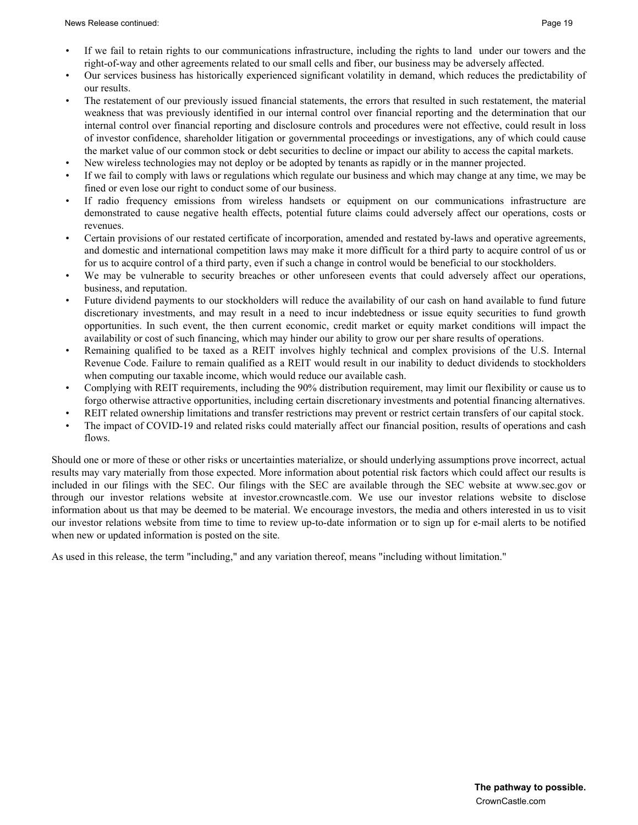- Our services business has historically experienced significant volatility in demand, which reduces the predictability of our results.
- The restatement of our previously issued financial statements, the errors that resulted in such restatement, the material weakness that was previously identified in our internal control over financial reporting and the determination that our internal control over financial reporting and disclosure controls and procedures were not effective, could result in loss of investor confidence, shareholder litigation or governmental proceedings or investigations, any of which could cause the market value of our common stock or debt securities to decline or impact our ability to access the capital markets.
- New wireless technologies may not deploy or be adopted by tenants as rapidly or in the manner projected.
- If we fail to comply with laws or regulations which regulate our business and which may change at any time, we may be fined or even lose our right to conduct some of our business.
- If radio frequency emissions from wireless handsets or equipment on our communications infrastructure are demonstrated to cause negative health effects, potential future claims could adversely affect our operations, costs or revenues.
- Certain provisions of our restated certificate of incorporation, amended and restated by-laws and operative agreements, and domestic and international competition laws may make it more difficult for a third party to acquire control of us or for us to acquire control of a third party, even if such a change in control would be beneficial to our stockholders.
- We may be vulnerable to security breaches or other unforeseen events that could adversely affect our operations, business, and reputation.
- Future dividend payments to our stockholders will reduce the availability of our cash on hand available to fund future discretionary investments, and may result in a need to incur indebtedness or issue equity securities to fund growth opportunities. In such event, the then current economic, credit market or equity market conditions will impact the availability or cost of such financing, which may hinder our ability to grow our per share results of operations.
- Remaining qualified to be taxed as a REIT involves highly technical and complex provisions of the U.S. Internal Revenue Code. Failure to remain qualified as a REIT would result in our inability to deduct dividends to stockholders when computing our taxable income, which would reduce our available cash.
- Complying with REIT requirements, including the 90% distribution requirement, may limit our flexibility or cause us to forgo otherwise attractive opportunities, including certain discretionary investments and potential financing alternatives.
- REIT related ownership limitations and transfer restrictions may prevent or restrict certain transfers of our capital stock.
- The impact of COVID-19 and related risks could materially affect our financial position, results of operations and cash flows.

Should one or more of these or other risks or uncertainties materialize, or should underlying assumptions prove incorrect, actual results may vary materially from those expected. More information about potential risk factors which could affect our results is included in our filings with the SEC. Our filings with the SEC are available through the SEC website at www.sec.gov or through our investor relations website at investor.crowncastle.com. We use our investor relations website to disclose information about us that may be deemed to be material. We encourage investors, the media and others interested in us to visit our investor relations website from time to time to review up-to-date information or to sign up for e-mail alerts to be notified when new or updated information is posted on the site.

As used in this release, the term "including," and any variation thereof, means "including without limitation."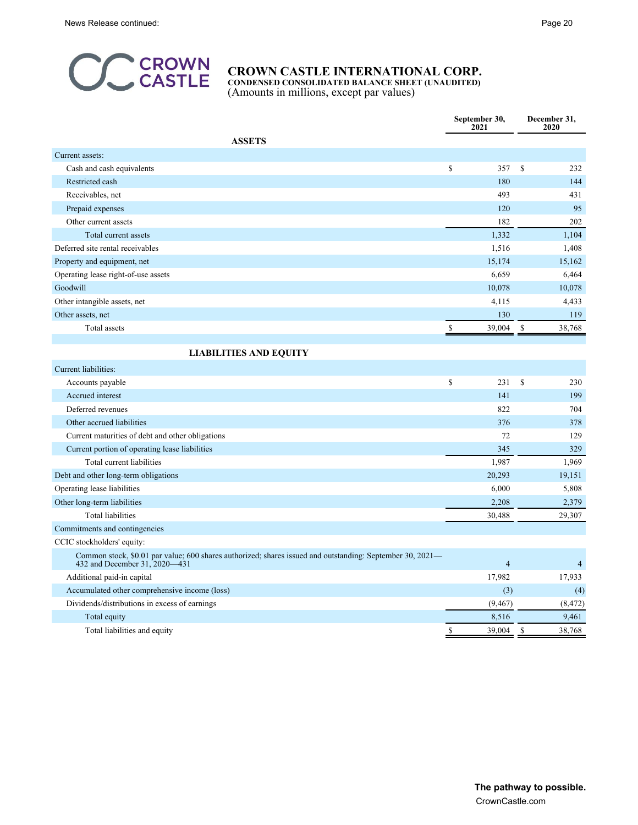

**CONDENSED CONSOLIDATED BALANCE SHEET (UNAUDITED)** (Amounts in millions, except par values)

| <b>ASSETS</b><br>Current assets:<br>\$<br><sup>\$</sup><br>Cash and cash equivalents<br>357<br>232<br>180<br>144<br>Restricted cash<br>493<br>431<br>Receivables, net<br>95<br>120<br>Prepaid expenses<br>182<br>202<br>Other current assets<br>1,332<br>1,104<br>Total current assets<br>Deferred site rental receivables<br>1,516<br>1,408<br>15,174<br>15,162<br>Property and equipment, net<br>6,659<br>6,464<br>Operating lease right-of-use assets<br>Goodwill<br>10,078<br>10,078<br>Other intangible assets, net<br>4,115<br>4,433<br>130<br>Other assets, net<br>119<br>Total assets<br>39,004<br>38,768<br>\$<br>\$<br><b>LIABILITIES AND EQUITY</b><br>Current liabilities:<br>\$<br>$\mathbf S$<br>231<br>230<br>Accounts payable<br>141<br>199<br>Accrued interest<br>Deferred revenues<br>822<br>704<br>Other accrued liabilities<br>376<br>378<br>72<br>129<br>Current maturities of debt and other obligations<br>Current portion of operating lease liabilities<br>345<br>329<br>1,987<br>1,969<br>Total current liabilities<br>20,293<br>Debt and other long-term obligations<br>19,151<br>Operating lease liabilities<br>6,000<br>5,808<br>Other long-term liabilities<br>2,208<br>2,379<br><b>Total liabilities</b><br>30,488<br>29,307<br>Commitments and contingencies<br>CCIC stockholders' equity:<br>Common stock, \$0.01 par value; 600 shares authorized; shares issued and outstanding: September 30, 2021—<br>$\overline{4}$<br>432 and December 31, 2020–431<br>$\overline{4}$<br>17,982<br>17,933<br>Additional paid-in capital<br>(3)<br>Accumulated other comprehensive income (loss)<br>(4)<br>Dividends/distributions in excess of earnings<br>(9, 467)<br>(8, 472)<br>8,516<br>9,461<br>Total equity<br>$\mathbb S$<br>39,004<br>S<br>38,768<br>Total liabilities and equity |  | September 30,<br>2021 | December 31,<br>2020 |
|------------------------------------------------------------------------------------------------------------------------------------------------------------------------------------------------------------------------------------------------------------------------------------------------------------------------------------------------------------------------------------------------------------------------------------------------------------------------------------------------------------------------------------------------------------------------------------------------------------------------------------------------------------------------------------------------------------------------------------------------------------------------------------------------------------------------------------------------------------------------------------------------------------------------------------------------------------------------------------------------------------------------------------------------------------------------------------------------------------------------------------------------------------------------------------------------------------------------------------------------------------------------------------------------------------------------------------------------------------------------------------------------------------------------------------------------------------------------------------------------------------------------------------------------------------------------------------------------------------------------------------------------------------------------------------------------------------------------------------------------------------------------------------------------------------------|--|-----------------------|----------------------|
|                                                                                                                                                                                                                                                                                                                                                                                                                                                                                                                                                                                                                                                                                                                                                                                                                                                                                                                                                                                                                                                                                                                                                                                                                                                                                                                                                                                                                                                                                                                                                                                                                                                                                                                                                                                                                  |  |                       |                      |
|                                                                                                                                                                                                                                                                                                                                                                                                                                                                                                                                                                                                                                                                                                                                                                                                                                                                                                                                                                                                                                                                                                                                                                                                                                                                                                                                                                                                                                                                                                                                                                                                                                                                                                                                                                                                                  |  |                       |                      |
|                                                                                                                                                                                                                                                                                                                                                                                                                                                                                                                                                                                                                                                                                                                                                                                                                                                                                                                                                                                                                                                                                                                                                                                                                                                                                                                                                                                                                                                                                                                                                                                                                                                                                                                                                                                                                  |  |                       |                      |
|                                                                                                                                                                                                                                                                                                                                                                                                                                                                                                                                                                                                                                                                                                                                                                                                                                                                                                                                                                                                                                                                                                                                                                                                                                                                                                                                                                                                                                                                                                                                                                                                                                                                                                                                                                                                                  |  |                       |                      |
|                                                                                                                                                                                                                                                                                                                                                                                                                                                                                                                                                                                                                                                                                                                                                                                                                                                                                                                                                                                                                                                                                                                                                                                                                                                                                                                                                                                                                                                                                                                                                                                                                                                                                                                                                                                                                  |  |                       |                      |
|                                                                                                                                                                                                                                                                                                                                                                                                                                                                                                                                                                                                                                                                                                                                                                                                                                                                                                                                                                                                                                                                                                                                                                                                                                                                                                                                                                                                                                                                                                                                                                                                                                                                                                                                                                                                                  |  |                       |                      |
|                                                                                                                                                                                                                                                                                                                                                                                                                                                                                                                                                                                                                                                                                                                                                                                                                                                                                                                                                                                                                                                                                                                                                                                                                                                                                                                                                                                                                                                                                                                                                                                                                                                                                                                                                                                                                  |  |                       |                      |
|                                                                                                                                                                                                                                                                                                                                                                                                                                                                                                                                                                                                                                                                                                                                                                                                                                                                                                                                                                                                                                                                                                                                                                                                                                                                                                                                                                                                                                                                                                                                                                                                                                                                                                                                                                                                                  |  |                       |                      |
|                                                                                                                                                                                                                                                                                                                                                                                                                                                                                                                                                                                                                                                                                                                                                                                                                                                                                                                                                                                                                                                                                                                                                                                                                                                                                                                                                                                                                                                                                                                                                                                                                                                                                                                                                                                                                  |  |                       |                      |
|                                                                                                                                                                                                                                                                                                                                                                                                                                                                                                                                                                                                                                                                                                                                                                                                                                                                                                                                                                                                                                                                                                                                                                                                                                                                                                                                                                                                                                                                                                                                                                                                                                                                                                                                                                                                                  |  |                       |                      |
|                                                                                                                                                                                                                                                                                                                                                                                                                                                                                                                                                                                                                                                                                                                                                                                                                                                                                                                                                                                                                                                                                                                                                                                                                                                                                                                                                                                                                                                                                                                                                                                                                                                                                                                                                                                                                  |  |                       |                      |
|                                                                                                                                                                                                                                                                                                                                                                                                                                                                                                                                                                                                                                                                                                                                                                                                                                                                                                                                                                                                                                                                                                                                                                                                                                                                                                                                                                                                                                                                                                                                                                                                                                                                                                                                                                                                                  |  |                       |                      |
|                                                                                                                                                                                                                                                                                                                                                                                                                                                                                                                                                                                                                                                                                                                                                                                                                                                                                                                                                                                                                                                                                                                                                                                                                                                                                                                                                                                                                                                                                                                                                                                                                                                                                                                                                                                                                  |  |                       |                      |
|                                                                                                                                                                                                                                                                                                                                                                                                                                                                                                                                                                                                                                                                                                                                                                                                                                                                                                                                                                                                                                                                                                                                                                                                                                                                                                                                                                                                                                                                                                                                                                                                                                                                                                                                                                                                                  |  |                       |                      |
|                                                                                                                                                                                                                                                                                                                                                                                                                                                                                                                                                                                                                                                                                                                                                                                                                                                                                                                                                                                                                                                                                                                                                                                                                                                                                                                                                                                                                                                                                                                                                                                                                                                                                                                                                                                                                  |  |                       |                      |
|                                                                                                                                                                                                                                                                                                                                                                                                                                                                                                                                                                                                                                                                                                                                                                                                                                                                                                                                                                                                                                                                                                                                                                                                                                                                                                                                                                                                                                                                                                                                                                                                                                                                                                                                                                                                                  |  |                       |                      |
|                                                                                                                                                                                                                                                                                                                                                                                                                                                                                                                                                                                                                                                                                                                                                                                                                                                                                                                                                                                                                                                                                                                                                                                                                                                                                                                                                                                                                                                                                                                                                                                                                                                                                                                                                                                                                  |  |                       |                      |
|                                                                                                                                                                                                                                                                                                                                                                                                                                                                                                                                                                                                                                                                                                                                                                                                                                                                                                                                                                                                                                                                                                                                                                                                                                                                                                                                                                                                                                                                                                                                                                                                                                                                                                                                                                                                                  |  |                       |                      |
|                                                                                                                                                                                                                                                                                                                                                                                                                                                                                                                                                                                                                                                                                                                                                                                                                                                                                                                                                                                                                                                                                                                                                                                                                                                                                                                                                                                                                                                                                                                                                                                                                                                                                                                                                                                                                  |  |                       |                      |
|                                                                                                                                                                                                                                                                                                                                                                                                                                                                                                                                                                                                                                                                                                                                                                                                                                                                                                                                                                                                                                                                                                                                                                                                                                                                                                                                                                                                                                                                                                                                                                                                                                                                                                                                                                                                                  |  |                       |                      |
|                                                                                                                                                                                                                                                                                                                                                                                                                                                                                                                                                                                                                                                                                                                                                                                                                                                                                                                                                                                                                                                                                                                                                                                                                                                                                                                                                                                                                                                                                                                                                                                                                                                                                                                                                                                                                  |  |                       |                      |
|                                                                                                                                                                                                                                                                                                                                                                                                                                                                                                                                                                                                                                                                                                                                                                                                                                                                                                                                                                                                                                                                                                                                                                                                                                                                                                                                                                                                                                                                                                                                                                                                                                                                                                                                                                                                                  |  |                       |                      |
|                                                                                                                                                                                                                                                                                                                                                                                                                                                                                                                                                                                                                                                                                                                                                                                                                                                                                                                                                                                                                                                                                                                                                                                                                                                                                                                                                                                                                                                                                                                                                                                                                                                                                                                                                                                                                  |  |                       |                      |
|                                                                                                                                                                                                                                                                                                                                                                                                                                                                                                                                                                                                                                                                                                                                                                                                                                                                                                                                                                                                                                                                                                                                                                                                                                                                                                                                                                                                                                                                                                                                                                                                                                                                                                                                                                                                                  |  |                       |                      |
|                                                                                                                                                                                                                                                                                                                                                                                                                                                                                                                                                                                                                                                                                                                                                                                                                                                                                                                                                                                                                                                                                                                                                                                                                                                                                                                                                                                                                                                                                                                                                                                                                                                                                                                                                                                                                  |  |                       |                      |
|                                                                                                                                                                                                                                                                                                                                                                                                                                                                                                                                                                                                                                                                                                                                                                                                                                                                                                                                                                                                                                                                                                                                                                                                                                                                                                                                                                                                                                                                                                                                                                                                                                                                                                                                                                                                                  |  |                       |                      |
|                                                                                                                                                                                                                                                                                                                                                                                                                                                                                                                                                                                                                                                                                                                                                                                                                                                                                                                                                                                                                                                                                                                                                                                                                                                                                                                                                                                                                                                                                                                                                                                                                                                                                                                                                                                                                  |  |                       |                      |
|                                                                                                                                                                                                                                                                                                                                                                                                                                                                                                                                                                                                                                                                                                                                                                                                                                                                                                                                                                                                                                                                                                                                                                                                                                                                                                                                                                                                                                                                                                                                                                                                                                                                                                                                                                                                                  |  |                       |                      |
|                                                                                                                                                                                                                                                                                                                                                                                                                                                                                                                                                                                                                                                                                                                                                                                                                                                                                                                                                                                                                                                                                                                                                                                                                                                                                                                                                                                                                                                                                                                                                                                                                                                                                                                                                                                                                  |  |                       |                      |
|                                                                                                                                                                                                                                                                                                                                                                                                                                                                                                                                                                                                                                                                                                                                                                                                                                                                                                                                                                                                                                                                                                                                                                                                                                                                                                                                                                                                                                                                                                                                                                                                                                                                                                                                                                                                                  |  |                       |                      |
|                                                                                                                                                                                                                                                                                                                                                                                                                                                                                                                                                                                                                                                                                                                                                                                                                                                                                                                                                                                                                                                                                                                                                                                                                                                                                                                                                                                                                                                                                                                                                                                                                                                                                                                                                                                                                  |  |                       |                      |
|                                                                                                                                                                                                                                                                                                                                                                                                                                                                                                                                                                                                                                                                                                                                                                                                                                                                                                                                                                                                                                                                                                                                                                                                                                                                                                                                                                                                                                                                                                                                                                                                                                                                                                                                                                                                                  |  |                       |                      |
|                                                                                                                                                                                                                                                                                                                                                                                                                                                                                                                                                                                                                                                                                                                                                                                                                                                                                                                                                                                                                                                                                                                                                                                                                                                                                                                                                                                                                                                                                                                                                                                                                                                                                                                                                                                                                  |  |                       |                      |
|                                                                                                                                                                                                                                                                                                                                                                                                                                                                                                                                                                                                                                                                                                                                                                                                                                                                                                                                                                                                                                                                                                                                                                                                                                                                                                                                                                                                                                                                                                                                                                                                                                                                                                                                                                                                                  |  |                       |                      |
|                                                                                                                                                                                                                                                                                                                                                                                                                                                                                                                                                                                                                                                                                                                                                                                                                                                                                                                                                                                                                                                                                                                                                                                                                                                                                                                                                                                                                                                                                                                                                                                                                                                                                                                                                                                                                  |  |                       |                      |
|                                                                                                                                                                                                                                                                                                                                                                                                                                                                                                                                                                                                                                                                                                                                                                                                                                                                                                                                                                                                                                                                                                                                                                                                                                                                                                                                                                                                                                                                                                                                                                                                                                                                                                                                                                                                                  |  |                       |                      |
|                                                                                                                                                                                                                                                                                                                                                                                                                                                                                                                                                                                                                                                                                                                                                                                                                                                                                                                                                                                                                                                                                                                                                                                                                                                                                                                                                                                                                                                                                                                                                                                                                                                                                                                                                                                                                  |  |                       |                      |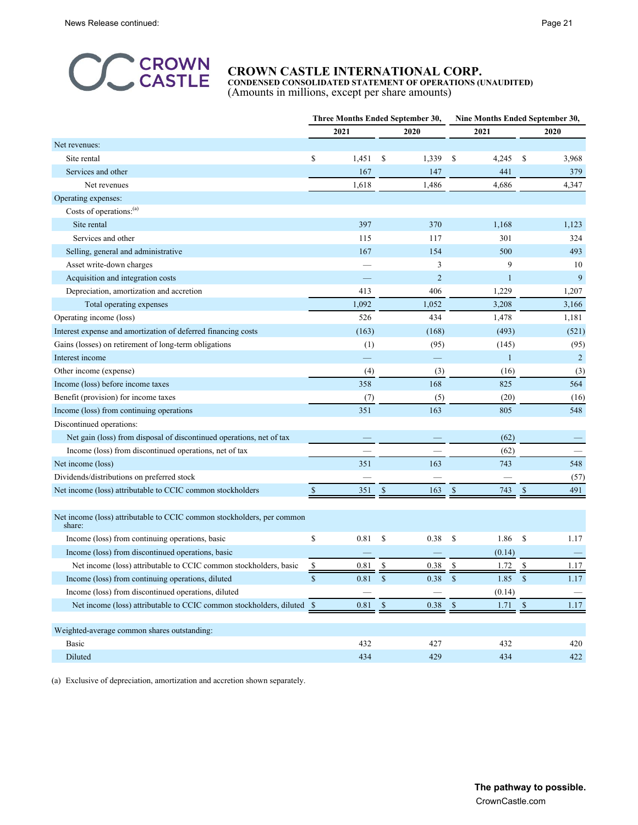

**CONDENSED CONSOLIDATED STATEMENT OF OPERATIONS (UNAUDITED)** (Amounts in millions, except per share amounts)

|                                                                                  | Three Months Ended September 30, |          |                      |              | Nine Months Ended September 30, |              |                |  |
|----------------------------------------------------------------------------------|----------------------------------|----------|----------------------|--------------|---------------------------------|--------------|----------------|--|
|                                                                                  |                                  | 2021     | 2020                 |              | 2021                            |              | 2020           |  |
| Net revenues:                                                                    |                                  |          |                      |              |                                 |              |                |  |
| Site rental                                                                      | \$                               | 1,451    | \$<br>1,339          | \$           | 4,245                           | \$           | 3,968          |  |
| Services and other                                                               |                                  | 167      | 147                  |              | 441                             |              | 379            |  |
| Net revenues                                                                     |                                  | 1,618    | 1,486                |              | 4,686                           |              | 4,347          |  |
| Operating expenses:                                                              |                                  |          |                      |              |                                 |              |                |  |
| Costs of operations: <sup>(a)</sup>                                              |                                  |          |                      |              |                                 |              |                |  |
| Site rental                                                                      |                                  | 397      | 370                  |              | 1,168                           |              | 1,123          |  |
| Services and other                                                               |                                  | 115      | 117                  |              | 301                             |              | 324            |  |
| Selling, general and administrative                                              |                                  | 167      | 154                  |              | 500                             |              | 493            |  |
| Asset write-down charges                                                         |                                  |          | 3                    |              | 9                               |              | 10             |  |
| Acquisition and integration costs                                                |                                  |          | $\overline{2}$       |              | 1                               |              | 9              |  |
| Depreciation, amortization and accretion                                         |                                  | 413      | 406                  |              | 1,229                           |              | 1,207          |  |
| Total operating expenses                                                         |                                  | 1,092    | 1,052                |              | 3,208                           |              | 3,166          |  |
| Operating income (loss)                                                          |                                  | 526      | 434                  |              | 1,478                           |              | 1,181          |  |
| Interest expense and amortization of deferred financing costs                    |                                  | (163)    | (168)                |              | (493)                           |              | (521)          |  |
| Gains (losses) on retirement of long-term obligations                            |                                  | (1)      | (95)                 |              | (145)                           |              | (95)           |  |
| Interest income                                                                  |                                  |          |                      |              | $\mathbf{1}$                    |              | $\overline{c}$ |  |
| Other income (expense)                                                           |                                  | (4)      | (3)                  |              | (16)                            |              | (3)            |  |
| Income (loss) before income taxes                                                |                                  | 358      | 168                  |              | 825                             |              | 564            |  |
| Benefit (provision) for income taxes                                             |                                  | (7)      | (5)                  |              | (20)                            |              | (16)           |  |
| Income (loss) from continuing operations                                         |                                  | 351      | 163                  |              | 805                             |              | 548            |  |
| Discontinued operations:                                                         |                                  |          |                      |              |                                 |              |                |  |
| Net gain (loss) from disposal of discontinued operations, net of tax             |                                  |          |                      |              | (62)                            |              |                |  |
| Income (loss) from discontinued operations, net of tax                           |                                  |          |                      |              | (62)                            |              |                |  |
| Net income (loss)                                                                |                                  | 351      | 163                  |              | 743                             |              | 548            |  |
| Dividends/distributions on preferred stock                                       |                                  |          |                      |              |                                 |              | (57)           |  |
| Net income (loss) attributable to CCIC common stockholders                       | $\mathbb{S}$                     | 351      | <sup>\$</sup><br>163 | $\mathbb{S}$ | 743                             | $\mathbb{S}$ | 491            |  |
|                                                                                  |                                  |          |                      |              |                                 |              |                |  |
| Net income (loss) attributable to CCIC common stockholders, per common<br>share: |                                  |          |                      |              |                                 |              |                |  |
| Income (loss) from continuing operations, basic                                  | \$                               | 0.81     | \$<br>0.38           | \$           | 1.86                            | \$           | 1.17           |  |
| Income (loss) from discontinued operations, basic                                |                                  |          |                      |              | (0.14)                          |              |                |  |
| Net income (loss) attributable to CCIC common stockholders, basic                | $\frac{1}{2}$                    | 0.81     | \$<br>0.38           | \$           | 1.72                            | \$           | 1.17           |  |
| Income (loss) from continuing operations, diluted                                | \$                               | 0.81     | \$<br>0.38           | \$           | 1.85                            | $\mathbb{S}$ | 1.17           |  |
| Income (loss) from discontinued operations, diluted                              |                                  |          |                      |              | (0.14)                          |              |                |  |
| Net income (loss) attributable to CCIC common stockholders, diluted \$           |                                  | $0.81\,$ | $\mathbb{S}$<br>0.38 | $\mathbb{S}$ | $1.71 \quad$ \$                 |              | 1.17           |  |
|                                                                                  |                                  |          |                      |              |                                 |              |                |  |
| Weighted-average common shares outstanding:                                      |                                  |          |                      |              |                                 |              |                |  |
| Basic                                                                            |                                  | 432      | 427                  |              | 432                             |              | 420            |  |
| Diluted                                                                          |                                  | 434      | 429                  |              | 434                             |              | 422            |  |

(a) Exclusive of depreciation, amortization and accretion shown separately.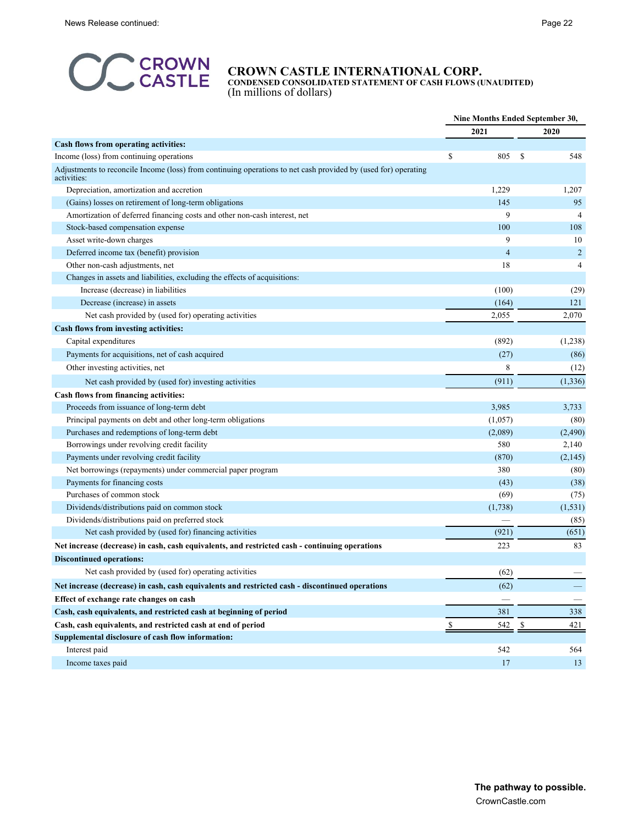

**CONDENSED CONSOLIDATED STATEMENT OF CASH FLOWS (UNAUDITED)** (In millions of dollars)

|                                                                                                                               |                | Nine Months Ended September 30, |
|-------------------------------------------------------------------------------------------------------------------------------|----------------|---------------------------------|
|                                                                                                                               | 2021           | 2020                            |
| Cash flows from operating activities:                                                                                         |                |                                 |
| Income (loss) from continuing operations                                                                                      | S<br>805       | S<br>548                        |
| Adjustments to reconcile Income (loss) from continuing operations to net cash provided by (used for) operating<br>activities: |                |                                 |
| Depreciation, amortization and accretion                                                                                      | 1,229          | 1,207                           |
| (Gains) losses on retirement of long-term obligations                                                                         | 145            | 95                              |
| Amortization of deferred financing costs and other non-cash interest, net                                                     | 9              | $\overline{4}$                  |
| Stock-based compensation expense                                                                                              | 100            | 108                             |
| Asset write-down charges                                                                                                      | 9              | 10                              |
| Deferred income tax (benefit) provision                                                                                       | $\overline{4}$ | $\overline{c}$                  |
| Other non-cash adjustments, net                                                                                               | 18             | 4                               |
| Changes in assets and liabilities, excluding the effects of acquisitions:                                                     |                |                                 |
| Increase (decrease) in liabilities                                                                                            | (100)          | (29)                            |
| Decrease (increase) in assets                                                                                                 | (164)          | 121                             |
| Net cash provided by (used for) operating activities                                                                          | 2,055          | 2,070                           |
| Cash flows from investing activities:                                                                                         |                |                                 |
| Capital expenditures                                                                                                          | (892)          | (1,238)                         |
| Payments for acquisitions, net of cash acquired                                                                               | (27)           | (86)                            |
| Other investing activities, net                                                                                               | 8              | (12)                            |
| Net cash provided by (used for) investing activities                                                                          | (911)          | (1, 336)                        |
| Cash flows from financing activities:                                                                                         |                |                                 |
| Proceeds from issuance of long-term debt                                                                                      | 3,985          | 3,733                           |
| Principal payments on debt and other long-term obligations                                                                    | (1,057)        | (80)                            |
| Purchases and redemptions of long-term debt                                                                                   | (2,089)        | (2, 490)                        |
| Borrowings under revolving credit facility                                                                                    | 580            | 2,140                           |
| Payments under revolving credit facility                                                                                      | (870)          | (2,145)                         |
| Net borrowings (repayments) under commercial paper program                                                                    | 380            | (80)                            |
| Payments for financing costs                                                                                                  | (43)           | (38)                            |
| Purchases of common stock                                                                                                     | (69)           | (75)                            |
| Dividends/distributions paid on common stock                                                                                  | (1,738)        | (1, 531)                        |
| Dividends/distributions paid on preferred stock                                                                               |                | (85)                            |
| Net cash provided by (used for) financing activities                                                                          | (921)          | (651)                           |
| Net increase (decrease) in cash, cash equivalents, and restricted cash - continuing operations                                | 223            | 83                              |
| <b>Discontinued operations:</b>                                                                                               |                |                                 |
| Net cash provided by (used for) operating activities                                                                          | (62)           |                                 |
| Net increase (decrease) in cash, cash equivalents and restricted cash - discontinued operations                               | (62)           |                                 |
| Effect of exchange rate changes on cash                                                                                       |                |                                 |
| Cash, cash equivalents, and restricted cash at beginning of period                                                            | 381            | 338                             |
| Cash, cash equivalents, and restricted cash at end of period                                                                  | 542<br>\$      | 421<br><sup>\$</sup>            |
| Supplemental disclosure of cash flow information:                                                                             |                |                                 |
| Interest paid                                                                                                                 | 542            | 564                             |
| Income taxes paid                                                                                                             | 17             | 13                              |
|                                                                                                                               |                |                                 |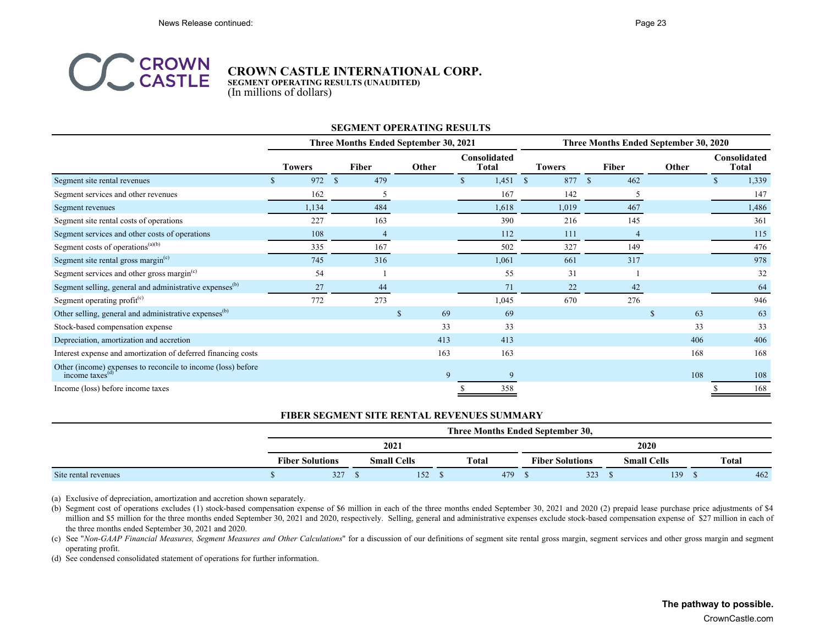

**SEGMENT OPERATING RESULTS (UNAUDITED)** (In millions of dollars)

#### **SEGMENT OPERATING RESULTS**

|                                                                                                 |               | Three Months Ended September 30, 2021 |              |                        |                     | Three Months Ended September 30, 2020 |                   |                              |  |  |
|-------------------------------------------------------------------------------------------------|---------------|---------------------------------------|--------------|------------------------|---------------------|---------------------------------------|-------------------|------------------------------|--|--|
|                                                                                                 | <b>Towers</b> | <b>Fiber</b>                          | Other        | Consolidated<br>Total  | <b>Towers</b>       | <b>Fiber</b>                          | Other             | Consolidated<br><b>Total</b> |  |  |
| Segment site rental revenues                                                                    | 972           | 479<br>$\mathbf{s}$                   |              | 1,451<br><sup>\$</sup> | 877<br><sup>S</sup> | 462<br>-S                             |                   | 1,339                        |  |  |
| Segment services and other revenues                                                             | 162           | 5                                     |              | 167                    | 142                 |                                       |                   | 147                          |  |  |
| Segment revenues                                                                                | 1,134         | 484                                   |              | 1,618                  | 1,019               | 467                                   |                   | 1,486                        |  |  |
| Segment site rental costs of operations                                                         | 227           | 163                                   |              | 390                    | 216                 | 145                                   |                   | 361                          |  |  |
| Segment services and other costs of operations                                                  | 108           | $\overline{4}$                        |              | 112                    | 111                 |                                       |                   | 115                          |  |  |
| Segment costs of operations $(a)(b)$                                                            | 335           | 167                                   |              | 502                    | 327                 | 149                                   |                   | 476                          |  |  |
| Segment site rental gross margin $(c)$                                                          | 745           | 316                                   |              | 1,061                  | 661                 | 317                                   |                   | 978                          |  |  |
| Segment services and other gross margin <sup>(c)</sup>                                          | 54            |                                       |              | 55                     | 31                  |                                       |                   | 32                           |  |  |
| Segment selling, general and administrative expenses <sup>(b)</sup>                             | 27            | 44                                    |              | 71                     | 22                  | 42                                    |                   | 64                           |  |  |
| Segment operating profit <sup>(c)</sup>                                                         | 772           | 273                                   |              | 1,045                  | 670                 | 276                                   |                   | 946                          |  |  |
| Other selling, general and administrative expenses <sup>(b)</sup>                               |               |                                       | 69<br>\$.    | 69                     |                     |                                       | 63<br>$\mathbf S$ | 63                           |  |  |
| Stock-based compensation expense                                                                |               |                                       | 33           | 33                     |                     |                                       | 33                | 33                           |  |  |
| Depreciation, amortization and accretion                                                        |               |                                       | 413          | 413                    |                     |                                       | 406               | 406                          |  |  |
| Interest expense and amortization of deferred financing costs                                   |               |                                       | 163          | 163                    |                     |                                       | 168               | 168                          |  |  |
| Other (income) expenses to reconcile to income (loss) before<br>income taxes $\overset{(d)}{ }$ |               |                                       | $\mathbf{Q}$ |                        |                     |                                       | 108               | 108                          |  |  |
| Income (loss) before income taxes                                                               |               |                                       |              | 358                    |                     |                                       |                   | 168                          |  |  |

#### **FIBER SEGMENT SITE RENTAL REVENUES SUMMARY**

|                      |                        | Three Months Ended September 30, |  |                    |  |              |     |                        |  |                    |  |       |
|----------------------|------------------------|----------------------------------|--|--------------------|--|--------------|-----|------------------------|--|--------------------|--|-------|
|                      |                        |                                  |  | 2021               |  |              |     |                        |  | 2020               |  |       |
|                      | <b>Fiber Solutions</b> |                                  |  | <b>Small Cells</b> |  | <b>Total</b> |     | <b>Fiber Solutions</b> |  | <b>Small Cells</b> |  | Total |
| Site rental revenues |                        | 327                              |  | 152                |  |              | 479 | 323                    |  | 139                |  | 462   |

(a) Exclusive of depreciation, amortization and accretion shown separately.

(b) Segment cost of operations excludes (1) stock-based compensation expense of \$6 million in each of the three months ended September 30, 2021 and 2020 (2) prepaid lease purchase price adjustments of \$4 million and \$5 million for the three months ended September 30, 2021 and 2020, respectively. Selling, general and administrative expenses exclude stock-based compensation expense of \$27 million in each of the three months ended September 30, 2021 and 2020.

(c) See "Non-GAAP Financial Measures, Segment Measures and Other Calculations" for a discussion of our definitions of segment site rental gross margin, segment services and other gross margin and segment operating profit.

(d) See condensed consolidated statement of operations for further information.